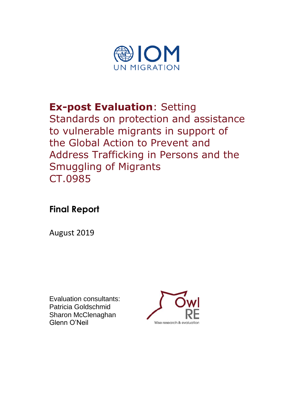

**Ex-post Evaluation**: Setting Standards on protection and assistance to vulnerable migrants in support of the Global Action to Prevent and Address Trafficking in Persons and the Smuggling of Migrants CT.0985

# **Final Report**

August 2019

Evaluation consultants: Patricia Goldschmid Sharon McClenaghan Glenn O'Neil

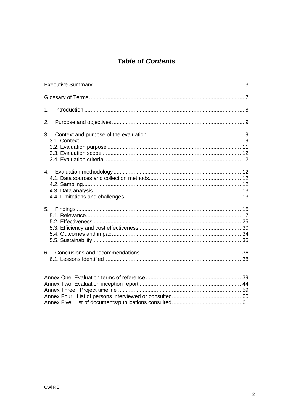# **Table of Contents**

| 1 <sub>1</sub> |
|----------------|
| 2.             |
| 3.             |
|                |
|                |
|                |
|                |

<span id="page-1-0"></span>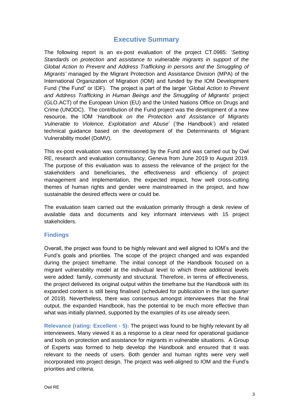# **Executive Summary**

The following report is an ex-post evaluation of the project CT.0985: '*Setting Standards on protection and assistance to vulnerable migrants in support of the Global Action to Prevent and Address Trafficking in persons and the Smuggling of Migrants'* managed by the Migrant Protection and Assistance Division (MPA) of the International Organization of Migration (IOM) and funded by the IOM Development Fund ("the Fund" or IDF). The project is part of the larger '*Global Action to Prevent and Address Trafficking in Human Beings and the Smuggling of Migrants'* project (GLO.ACT) of the European Union (EU) and the United Nations Office on Drugs and Crime (UNODC). The contribution of the Fund project was the development of a new resource, the IOM '*Handbook on the Protection and Assistance of Migrants Vulnerable to Violence, Exploitation and Abuse*' ('the Handbook') and related technical guidance based on the development of the Determinants of Migrant Vulnerability model (DoMV).

This ex-post evaluation was commissioned by the Fund and was carried out by Owl RE, research and evaluation consultancy, Geneva from June 2019 to August 2019. The purpose of this evaluation was to assess the relevance of the project for the stakeholders and beneficiaries, the effectiveness and efficiency of project management and implementation, the expected impact, how well cross-cutting themes of human rights and gender were mainstreamed in the project, and how sustainable the desired effects were or could be.

The evaluation team carried out the evaluation primarily through a desk review of available data and documents and key informant interviews with 15 project stakeholders.

### **Findings**

Overall, the project was found to be highly relevant and well aligned to IOM's and the Fund's goals and priorities. The scope of the project changed and was expanded during the project timeframe. The initial concept of the Handbook focused on a migrant vulnerability model at the individual level to which three additional levels were added: family, community and structural. Therefore, in terms of effectiveness, the project delivered its original output within the timeframe but the Handbook with its expanded content is still being finalised (scheduled for publication in the last quarter of 2019). Nevertheless, there was consensus amongst interviewees that the final output, the expanded Handbook, has the potential to be much more effective than what was initially planned, supported by the examples of its use already seen.

**Relevance (rating: Excellent - 5):** The project was found to be highly relevant by all interviewees. Many viewed it as a response to a clear need for operational guidance and tools on protection and assistance for migrants in vulnerable situations. A Group of Experts was formed to help develop the Handbook and ensured that it was relevant to the needs of users. Both gender and human rights were very well incorporated into project design. The project was well‐aligned to IOM and the Fund's priorities and criteria.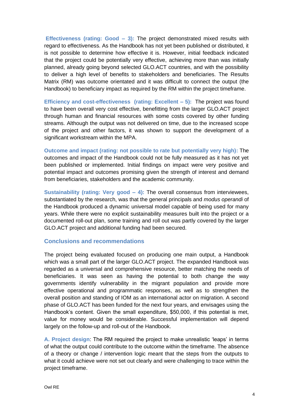**Effectiveness (rating: Good – 3):** The project demonstrated mixed results with regard to effectiveness. As the Handbook has not yet been published or distributed, it is not possible to determine how effective it is. However, initial feedback indicated that the project could be potentially very effective, achieving more than was initially planned, already going beyond selected GLO.ACT countries, and with the possibility to deliver a high level of benefits to stakeholders and beneficiaries. The Results Matrix (RM) was outcome orientated and it was difficult to connect the output (the Handbook) to beneficiary impact as required by the RM within the project timeframe.

**Efficiency and cost-effectiveness (rating: Excellent – 5):** The project was found to have been overall very cost effective, benefitting from the larger GLO.ACT project through human and financial resources with some costs covered by other funding streams. Although the output was not delivered on time, due to the increased scope of the project and other factors, it was shown to support the development of a significant workstream within the MPA.

**Outcome and impact (rating: not possible to rate but potentially very high):** The outcomes and impact of the Handbook could not be fully measured as it has not yet been published or implemented. Initial findings on impact were very positive and potential impact and outcomes promising given the strength of interest and demand from beneficiaries, stakeholders and the academic community.

**Sustainability (rating: Very good – 4):** The overall consensus from interviewees, substantiated by the research, was that the general principals and *modus operandi* of the Handbook produced a dynamic universal model capable of being used for many years. While there were no explicit sustainability measures built into the project or a documented roll-out plan, some training and roll out was partly covered by the larger GLO.ACT project and additional funding had been secured.

#### **Conclusions and recommendations**

The project being evaluated focused on producing one main output, a Handbook which was a small part of the larger GLO.ACT project. The expanded Handbook was regarded as a universal and comprehensive resource, better matching the needs of beneficiaries. It was seen as having the potential to both change the way governments identify vulnerability in the migrant population and provide more effective operational and programmatic responses, as well as to strengthen the overall position and standing of IOM as an international actor on migration. A second phase of GLO.ACT has been funded for the next four years, and envisages using the Handbook's content. Given the small expenditure, \$50,000, if this potential is met, value for money would be considerable. Successful implementation will depend largely on the follow-up and roll-out of the Handbook.

**A. Project design**: The RM required the project to make unrealistic 'leaps' in terms of what the output could contribute to the outcome within the timeframe. The absence of a theory or change / intervention logic meant that the steps from the outputs to what it could achieve were not set out clearly and were challenging to trace within the project timeframe.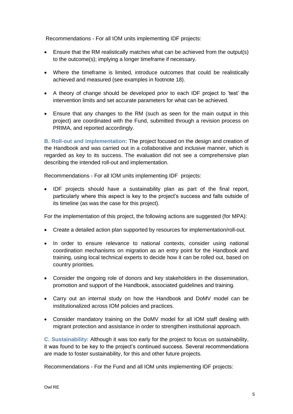Recommendations - For all IOM units implementing IDF projects:

- Ensure that the RM realistically matches what can be achieved from the output(s) to the outcome(s); implying a longer timeframe if necessary.
- Where the timeframe is limited, introduce outcomes that could be realistically achieved and measured (see examples in footnote 18).
- A theory of change should be developed prior to each IDF project to 'test' the intervention limits and set accurate parameters for what can be achieved.
- Ensure that any changes to the RM (such as seen for the main output in this project) are coordinated with the Fund, submitted through a revision process on PRIMA, and reported accordingly.

**B. Roll-out and implementation:** The project focused on the design and creation of the Handbook and was carried out in a collaborative and inclusive manner, which is regarded as key to its success. The evaluation did not see a comprehensive plan describing the intended roll-out and implementation.

Recommendations - For all IOM units implementing IDF projects:

• IDF projects should have a sustainability plan as part of the final report, particularly where this aspect is key to the project's success and falls outside of its timeline (as was the case for this project).

For the implementation of this project, the following actions are suggested (for MPA):

- Create a detailed action plan supported by resources for implementation/roll-out.
- In order to ensure relevance to national contexts, consider using national coordination mechanisms on migration as an entry point for the Handbook and training, using local technical experts to decide how it can be rolled out, based on country priorities.
- Consider the ongoing role of donors and key stakeholders in the dissemination, promotion and support of the Handbook, associated guidelines and training.
- Carry out an internal study on how the Handbook and DoMV model can be institutionalized across IOM policies and practices.
- Consider mandatory training on the DoMV model for all IOM staff dealing with migrant protection and assistance in order to strengthen institutional approach.

**C. Sustainability:** Although it was too early for the project to focus on sustainability, it was found to be key to the project's continued success. Several recommendations are made to foster sustainability, for this and other future projects.

Recommendations - For the Fund and all IOM units implementing IDF projects: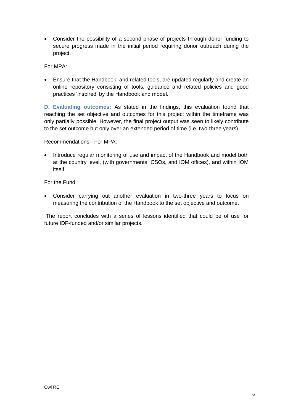• Consider the possibility of a second phase of projects through donor funding to secure progress made in the initial period requiring donor outreach during the project.

For MPA:

• Ensure that the Handbook, and related tools, are updated regularly and create an online repository consisting of tools, guidance and related policies and good practices 'inspired' by the Handbook and model.

**D. Evaluating outcomes:** As stated in the findings, this evaluation found that reaching the set objective and outcomes for this project within the timeframe was only partially possible. However, the final project output was seen to likely contribute to the set outcome but only over an extended period of time (i.e. two-three years).

Recommendations - For MPA:

• Introduce regular monitoring of use and impact of the Handbook and model both at the country level, (with governments, CSOs, and IOM offices), and within IOM itself.

For the Fund:

• Consider carrying out another evaluation in two-three years to focus on measuring the contribution of the Handbook to the set objective and outcome.

<span id="page-5-0"></span>The report concludes with a series of lessons identified that could be of use for future IDF-funded and/or similar projects.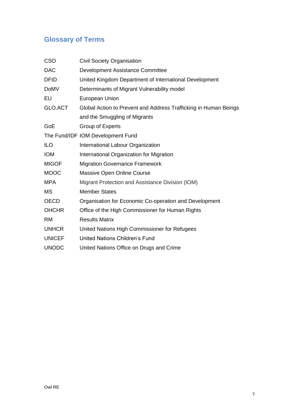# **Glossary of Terms**

| Civil Society Organisation                                       |  |  |
|------------------------------------------------------------------|--|--|
| Development Assistance Committee                                 |  |  |
| United Kingdom Department of International Development           |  |  |
| Determinants of Migrant Vulnerability model                      |  |  |
| <b>European Union</b>                                            |  |  |
| Global Action to Prevent and Address Trafficking in Human Beings |  |  |
| and the Smuggling of Migrants                                    |  |  |
| <b>Group of Experts</b>                                          |  |  |
| The Fund/IDF IOM Development Fund                                |  |  |
| International Labour Organization                                |  |  |
| International Organization for Migration                         |  |  |
| <b>Migration Governance Framework</b>                            |  |  |
| Massive Open Online Course                                       |  |  |
| Migrant Protection and Assistance Division (IOM)                 |  |  |
| <b>Member States</b>                                             |  |  |
| Organisation for Economic Co-operation and Development           |  |  |
| Office of the High Commissioner for Human Rights                 |  |  |
| <b>Results Matrix</b>                                            |  |  |
| United Nations High Commissioner for Refugees                    |  |  |
| <b>United Nations Children's Fund</b>                            |  |  |
| United Nations Office on Drugs and Crime                         |  |  |
|                                                                  |  |  |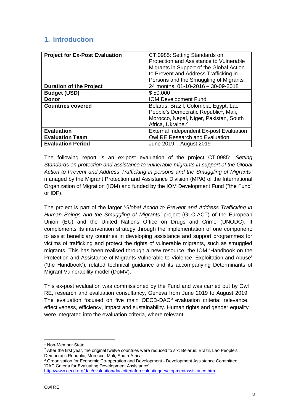# <span id="page-7-0"></span>**1. Introduction**

| <b>Project for Ex-Post Evaluation</b> | CT.0985: Setting Standards on                     |
|---------------------------------------|---------------------------------------------------|
|                                       | Protection and Assistance to Vulnerable           |
|                                       | Migrants in Support of the Global Action          |
|                                       | to Prevent and Address Trafficking in             |
|                                       | Persons and the Smuggling of Migrants             |
| <b>Duration of the Project</b>        | 24 months, 01-10-2016 - 30-09-2018                |
| <b>Budget (USD)</b>                   | \$50,000                                          |
| <b>Donor</b>                          | <b>IOM Development Fund</b>                       |
| <b>Countries covered</b>              | Belarus, Brazil, Colombia, Egypt, Lao             |
|                                       | People's Democratic Republic <sup>1</sup> , Mali, |
|                                       | Morocco, Nepal, Niger, Pakistan, South            |
|                                       | Africa, Ukraine. <sup>2</sup>                     |
| <b>Evaluation</b>                     | <b>External Independent Ex-post Evaluation</b>    |
| <b>Evaluation Team</b>                | Owl RE Research and Evaluation                    |
| <b>Evaluation Period</b>              | June 2019 - August 2019                           |

The following report is an ex-post evaluation of the project CT.0985: '*Setting Standards on protection and assistance to vulnerable migrants in support of the Global Action to Prevent and Address Trafficking in persons and the Smuggling of Migrants'* managed by the Migrant Protection and Assistance Division (MPA) of the International Organization of Migration (IOM) and funded by the IOM Development Fund ("the Fund" or IDF).

The project is part of the larger '*Global Action to Prevent and Address Trafficking in Human Beings and the Smuggling of Migrants'* project (GLO.ACT) of the European Union (EU) and the United Nations Office on Drugs and Crime (UNODC). It complements its intervention strategy through the implementation of one component: to assist beneficiary countries in developing assistance and support programmes for victims of trafficking and protect the rights of vulnerable migrants, such as smuggled migrants. This has been realised through a new resource, the IOM 'Handbook on the Protection and Assistance of Migrants Vulnerable to Violence, Exploitation and Abuse' ('the Handbook'), related technical guidance and its accompanying Determinants of Migrant Vulnerability model (DoMV).

This ex-post evaluation was commissioned by the Fund and was carried out by Owl RE, research and evaluation consultancy, Geneva from June 2019 to August 2019. The evaluation focused on five main OECD-DAC<sup>3</sup> evaluation criteria: relevance, effectiveness, efficiency, impact and sustainability. Human rights and gender equality were integrated into the evaluation criteria, where relevant.

<sup>3</sup> Organisation for Economic Co-operation and Development - Development Assistance Committee; 'DAC Criteria for Evaluating Development Assistance': <http://www.oecd.org/dac/evaluation/daccriteriaforevaluatingdevelopmentassistance.htm>

<sup>&</sup>lt;sup>1</sup> Non-Member State.

 $<sup>2</sup>$  After the first year, the original twelve countries were reduced to six: Belarus, Brazil, Lao People's</sup> Democratic Republic, Morocco, Mali, South Africa.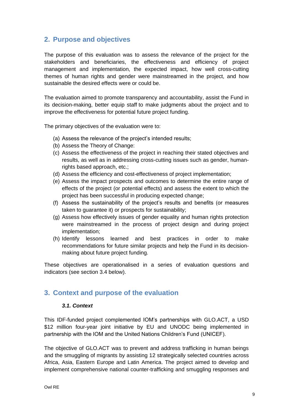# <span id="page-8-0"></span>**2. Purpose and objectives**

The purpose of this evaluation was to assess the relevance of the project for the stakeholders and beneficiaries, the effectiveness and efficiency of project management and implementation, the expected impact, how well cross-cutting themes of human rights and gender were mainstreamed in the project, and how sustainable the desired effects were or could be.

The evaluation aimed to promote transparency and accountability, assist the Fund in its decision-making, better equip staff to make judgments about the project and to improve the effectiveness for potential future project funding.

The primary objectives of the evaluation were to:

- (a) Assess the relevance of the project's intended results;
- (b) Assess the Theory of Change:
- (c) Assess the effectiveness of the project in reaching their stated objectives and results, as well as in addressing cross-cutting issues such as gender, humanrights based approach, etc.;
- (d) Assess the efficiency and cost-effectiveness of project implementation;
- (e) Assess the impact prospects and outcomes to determine the entire range of effects of the project (or potential effects) and assess the extent to which the project has been successful in producing expected change;
- (f) Assess the sustainability of the project's results and benefits (or measures taken to guarantee it) or prospects for sustainability;
- (g) Assess how effectively issues of gender equality and human rights protection were mainstreamed in the process of project design and during project implementation;
- (h) Identify lessons learned and best practices in order to make recommendations for future similar projects and help the Fund in its decisionmaking about future project funding.

These objectives are operationalised in a series of evaluation questions and indicators (see section 3.4 below).

### <span id="page-8-2"></span><span id="page-8-1"></span>**3. Context and purpose of the evaluation**

### *3.1. Context*

This IDF-funded project complemented IOM's partnerships with GLO.ACT, a USD \$12 million four-year joint initiative by EU and UNODC being implemented in partnership with the IOM and the United Nations Children's Fund (UNICEF).

The objective of GLO.ACT was to prevent and address trafficking in human beings and the smuggling of migrants by assisting 12 strategically selected countries across Africa, Asia, Eastern Europe and Latin America. The project aimed to develop and implement comprehensive national counter-trafficking and smuggling responses and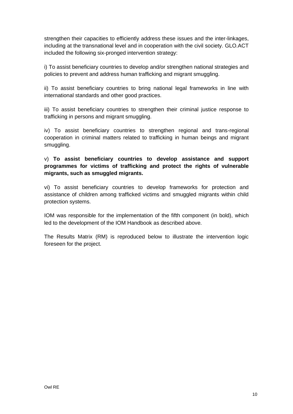strengthen their capacities to efficiently address these issues and the inter-linkages, including at the transnational level and in cooperation with the civil society. GLO.ACT included the following six-pronged intervention strategy:

i) To assist beneficiary countries to develop and/or strengthen national strategies and policies to prevent and address human trafficking and migrant smuggling.

ii) To assist beneficiary countries to bring national legal frameworks in line with international standards and other good practices.

iii) To assist beneficiary countries to strengthen their criminal justice response to trafficking in persons and migrant smuggling.

iv) To assist beneficiary countries to strengthen regional and trans-regional cooperation in criminal matters related to trafficking in human beings and migrant smuggling.

v) **To assist beneficiary countries to develop assistance and support programmes for victims of trafficking and protect the rights of vulnerable migrants, such as smuggled migrants.**

vi) To assist beneficiary countries to develop frameworks for protection and assistance of children among trafficked victims and smuggled migrants within child protection systems.

IOM was responsible for the implementation of the fifth component (in bold), which led to the development of the IOM Handbook as described above.

The Results Matrix (RM) is reproduced below to illustrate the intervention logic foreseen for the project.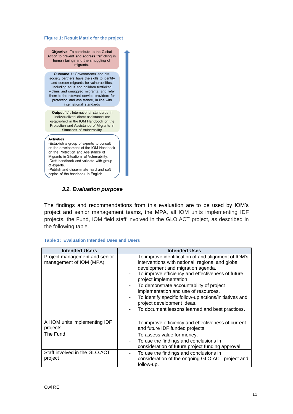#### **Figure 1: Result Matrix for the project**

Objective: To contribute to the Global Action to prevent and address trafficking in human beings and the smuggling of migrants.

**Outcome 1: Governments and civil** society partners have the skills to identify and screen migrants for vulnerabilities, including adult and children trafficked victims and smuggled migrants, and refer them to the relevant service providers for protection and assistance, in line with international standards

Output 1.1. International standards in individualized direct assistance are established in the IOM Handbook on the Protection and Assistance of Migrants in Situations of Vulnerability.

#### **Activities**

-Establish a group of experts to consult on the development of the IOM Handbook on the Protection and Assistance of Migrants in Situations of Vulnerability. -Draft handbook and validate with group of experts. -Publish and disseminate hard and soft

<span id="page-10-0"></span>copies of the handbook in English.

#### *3.2. Evaluation purpose*

The findings and recommendations from this evaluation are to be used by IOM's project and senior management teams, the MPA, all IOM units implementing IDF projects, the Fund, IOM field staff involved in the GLO.ACT project, as described in the following table.

#### **Table 1: Evaluation Intended Uses and Users**

| <b>Intended Users</b>                                    | <b>Intended Uses</b>                                                                                                                                                                                                                                                                                                                                                                                                                                        |
|----------------------------------------------------------|-------------------------------------------------------------------------------------------------------------------------------------------------------------------------------------------------------------------------------------------------------------------------------------------------------------------------------------------------------------------------------------------------------------------------------------------------------------|
| Project management and senior<br>management of IOM (MPA) | To improve identification of and alignment of IOM's<br>interventions with national, regional and global<br>development and migration agenda.<br>To improve efficiency and effectiveness of future<br>project implementation.<br>To demonstrate accountability of project<br>implementation and use of resources.<br>To identify specific follow-up actions/initiatives and<br>project development ideas.<br>To document lessons learned and best practices. |
| All IOM units implementing IDF<br>projects               | To improve efficiency and effectiveness of current<br>and future IDF funded projects                                                                                                                                                                                                                                                                                                                                                                        |
| The Fund                                                 | To assess value for money.<br>To use the findings and conclusions in<br>consideration of future project funding approval.                                                                                                                                                                                                                                                                                                                                   |
| Staff involved in the GLO.ACT<br>project                 | To use the findings and conclusions in<br>-<br>consideration of the ongoing GLO.ACT project and<br>follow-up.                                                                                                                                                                                                                                                                                                                                               |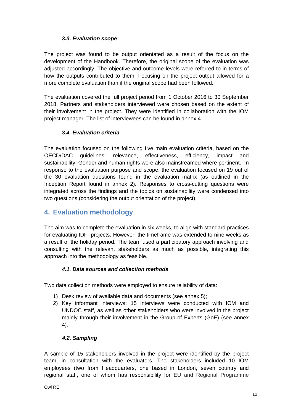### *3.3. Evaluation scope*

<span id="page-11-0"></span>The project was found to be output orientated as a result of the focus on the development of the Handbook. Therefore, the original scope of the evaluation was adjusted accordingly. The objective and outcome levels were referred to in terms of how the outputs contributed to them. Focusing on the project output allowed for a more complete evaluation than if the original scope had been followed.

The evaluation covered the full project period from 1 October 2016 to 30 September 2018. Partners and stakeholders interviewed were chosen based on the extent of their involvement in the project. They were identified in collaboration with the IOM project manager. The list of interviewees can be found in annex 4.

### *3.4. Evaluation criteria*

<span id="page-11-1"></span>The evaluation focused on the following five main evaluation criteria, based on the OECD/DAC guidelines: relevance, effectiveness, efficiency, impact and sustainability. Gender and human rights were also mainstreamed where pertinent. In response to the evaluation purpose and scope, the evaluation focused on 19 out of the 30 evaluation questions found in the evaluation matrix (as outlined in the Inception Report found in annex 2). Responses to cross-cutting questions were integrated across the findings and the topics on sustainability were condensed into two questions (considering the output orientation of the project).

# <span id="page-11-2"></span>**4. Evaluation methodology**

The aim was to complete the evaluation in six weeks, to align with standard practices for evaluating IDF projects. However, the timeframe was extended to nine weeks as a result of the holiday period. The team used a participatory approach involving and consulting with the relevant stakeholders as much as possible, integrating this approach into the methodology as feasible.

### *4.1. Data sources and collection methods*

<span id="page-11-3"></span>Two data collection methods were employed to ensure reliability of data:

- 1) Desk review of available data and documents (see annex 5);
- 2) Key informant interviews; 15 interviews were conducted with IOM and UNDOC staff, as well as other stakeholders who were involved in the project mainly through their involvement in the Group of Experts (GoE) (see annex 4).

### <span id="page-11-4"></span> *4.2. Sampling*

A sample of 15 stakeholders involved in the project were identified by the project team, in consultation with the evaluators. The stakeholders included 10 IOM employees (two from Headquarters, one based in London, seven country and regional staff, one of whom has responsibility for EU and Regional Programme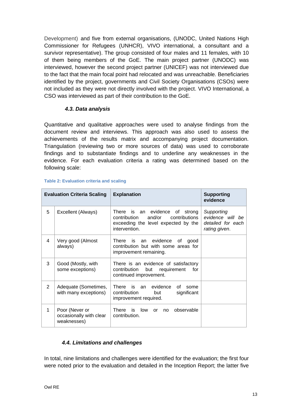Development) and five from external organisations, (UNODC, United Nations High Commissioner for Refugees (UNHCR), VIVO international, a consultant and a survivor representative). The group consisted of four males and 11 females, with 10 of them being members of the GoE. The main project partner (UNODC) was interviewed, however the second project partner (UNICEF) was not interviewed due to the fact that the main focal point had relocated and was unreachable. Beneficiaries identified by the project, governments and Civil Society Organisations (CSOs) were not included as they were not directly involved with the project. VIVO International, a CSO was interviewed as part of their contribution to the GoE.

#### <span id="page-12-0"></span> *4.3. Data analysis*

Quantitative and qualitative approaches were used to analyse findings from the document review and interviews. This approach was also used to assess the achievements of the results matrix and accompanying project documentation. Triangulation (reviewing two or more sources of data) was used to corroborate findings and to substantiate findings and to underline any weaknesses in the evidence. For each evaluation criteria a rating was determined based on the following scale:

|                | <b>Explanation</b><br><b>Evaluation Criteria Scaling</b> |                                                                                                                                      | <b>Supporting</b><br>evidence                                        |
|----------------|----------------------------------------------------------|--------------------------------------------------------------------------------------------------------------------------------------|----------------------------------------------------------------------|
| 5              | Excellent (Always)                                       | There is an evidence<br>of strong<br>and/or<br>contributions<br>contribution<br>exceeding the level expected by the<br>intervention. | Supporting<br>evidence will be<br>detailed for each<br>rating given. |
| 4              | Very good (Almost<br>always)                             | is an evidence<br>There<br>0f<br>good<br>contribution but with some areas for<br>improvement remaining.                              |                                                                      |
| 3              | Good (Mostly, with<br>some exceptions)                   | There is an evidence of satisfactory<br>contribution<br>but<br>requirement<br>for<br>continued improvement.                          |                                                                      |
| $\overline{2}$ | Adequate (Sometimes,<br>with many exceptions)            | There<br>evidence<br>is an<br>Ωf<br>some<br>significant<br>contribution<br>but<br>improvement required.                              |                                                                      |
| 1              | Poor (Never or<br>occasionally with clear<br>weaknesses) | There<br>is low<br>observable<br>$\alpha$ r<br>no<br>contribution.                                                                   |                                                                      |

#### **Table 2: Evaluation criteria and scaling**

### <span id="page-12-1"></span>*4.4. Limitations and challenges*

In total, nine limitations and challenges were identified for the evaluation; the first four were noted prior to the evaluation and detailed in the Inception Report; the latter five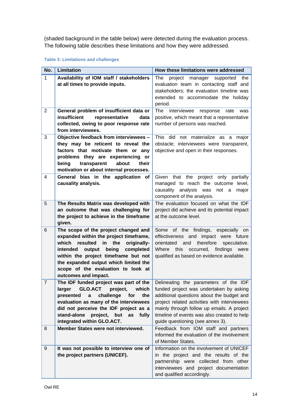(shaded background in the table below) were detected during the evaluation process. The following table describes these limitations and how they were addressed.

#### **Table 3: Limitations and challenges**

| No.            | Limitation                                                                              | How these limitations were addressed                                             |  |  |
|----------------|-----------------------------------------------------------------------------------------|----------------------------------------------------------------------------------|--|--|
| $\mathbf{1}$   | Availability of IOM staff / stakeholders                                                | project manager<br>The<br>supported the                                          |  |  |
|                | at all times to provide inputs.                                                         | evaluation team in contacting staff and                                          |  |  |
|                |                                                                                         | stakeholders; the evaluation timeline was                                        |  |  |
|                |                                                                                         | extended to accommodate the holiday                                              |  |  |
|                |                                                                                         | period.                                                                          |  |  |
| $\overline{2}$ | General problem of insufficient data or                                                 | The<br>interviewee<br>response<br>rate<br>was                                    |  |  |
|                | insufficient<br>representative<br>data                                                  | positive, which meant that a representative                                      |  |  |
|                | collected, owing to poor response rate                                                  | number of persons was reached.                                                   |  |  |
|                | from interviewees.                                                                      |                                                                                  |  |  |
| 3              | Objective feedback from interviewees -                                                  | This<br>did not materialize as a major                                           |  |  |
|                | they may be reticent to reveal the                                                      | obstacle; interviewees were transparent,                                         |  |  |
|                | factors that motivate them or any                                                       | objective and open in their responses.                                           |  |  |
|                | problems they are experiencing or<br>being<br>transparent<br>about<br>their             |                                                                                  |  |  |
|                | motivation or about internal processes.                                                 |                                                                                  |  |  |
| 4              | General bias in the application of                                                      | Given that the project only partially                                            |  |  |
|                | causality analysis.                                                                     | managed to reach the outcome level,                                              |  |  |
|                |                                                                                         | causality analysis was<br>not a<br>major                                         |  |  |
|                |                                                                                         | component of the analysis.                                                       |  |  |
| 5              | The Results Matrix was developed with                                                   | The evaluation focused on what the IDF                                           |  |  |
|                | an outcome that was challenging for                                                     | project did achieve and its potential impact                                     |  |  |
|                | the project to achieve in the timeframe                                                 | at the outcome level.                                                            |  |  |
|                | given.                                                                                  |                                                                                  |  |  |
| 6              | The scope of the project changed and                                                    | Some of the findings, especially<br>on                                           |  |  |
|                | expanded within the project timeframe,                                                  | effectiveness and impact were future                                             |  |  |
|                | which<br>resulted<br>in<br>the<br>originally-                                           | therefore<br>orientated<br>and<br>speculative.                                   |  |  |
|                | being<br>intended<br>output<br>completed                                                | this<br>occurred, findings were<br>Where                                         |  |  |
|                | within the project timeframe but not                                                    | qualified as based on evidence available.                                        |  |  |
|                | the expanded output which limited the                                                   |                                                                                  |  |  |
|                | scope of the evaluation to look at                                                      |                                                                                  |  |  |
|                | outcomes and impact.                                                                    |                                                                                  |  |  |
| $\overline{7}$ | The IDF funded project was part of the<br><b>GLO.ACT</b><br>project,<br>which<br>larger | Delineating the parameters of the IDF<br>funded project was undertaken by asking |  |  |
|                | challenge<br>the<br>presented<br>a<br>for                                               | additional questions about the budget and                                        |  |  |
|                | evaluation as many of the interviewees                                                  | project related activities with interviewees                                     |  |  |
|                | did not perceive the IDF project as a                                                   | mainly through follow up emails. A project                                       |  |  |
|                | stand-alone<br>project, but as<br>fully                                                 | timeline of events was also created to help                                      |  |  |
|                | integrated within GLO.ACT.                                                              | guide questioning (see annex 3).                                                 |  |  |
| 8              | Member States were not interviewed.                                                     | Feedback from IOM staff and partners                                             |  |  |
|                |                                                                                         | informed the evaluation of the involvement                                       |  |  |
|                |                                                                                         | of Member States.                                                                |  |  |
| 9              | It was not possible to interview one of                                                 | Information on the involvement of UNICEF                                         |  |  |
|                | the project partners (UNICEF).                                                          | in the project and the results of the                                            |  |  |
|                |                                                                                         | partnership were collected from other                                            |  |  |
|                |                                                                                         | interviewees and project documentation                                           |  |  |
|                |                                                                                         | and qualified accordingly.                                                       |  |  |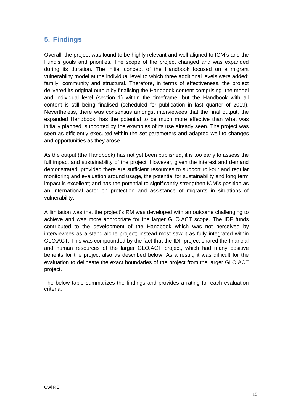# <span id="page-14-0"></span>**5. Findings**

Overall, the project was found to be highly relevant and well aligned to IOM's and the Fund's goals and priorities. The scope of the project changed and was expanded during its duration. The initial concept of the Handbook focused on a migrant vulnerability model at the individual level to which three additional levels were added: family, community and structural. Therefore, in terms of effectiveness, the project delivered its original output by finalising the Handbook content comprising the model and individual level (section 1) within the timeframe, but the Handbook with all content is still being finalised (scheduled for publication in last quarter of 2019). Nevertheless, there was consensus amongst interviewees that the final output, the expanded Handbook, has the potential to be much more effective than what was initially planned, supported by the examples of its use already seen. The project was seen as efficiently executed within the set parameters and adapted well to changes and opportunities as they arose.

As the output (the Handbook) has not yet been published, it is too early to assess the full impact and sustainability of the project. However, given the interest and demand demonstrated, provided there are sufficient resources to support roll-out and regular monitoring and evaluation around usage, the potential for sustainability and long term impact is excellent; and has the potential to significantly strengthen IOM's position as an international actor on protection and assistance of migrants in situations of vulnerability.

A limitation was that the project's RM was developed with an outcome challenging to achieve and was more appropriate for the larger GLO.ACT scope. The IDF funds contributed to the development of the Handbook which was not perceived by interviewees as a stand-alone project; instead most saw it as fully integrated within GLO.ACT. This was compounded by the fact that the IDF project shared the financial and human resources of the larger GLO.ACT project, which had many positive benefits for the project also as described below. As a result, it was difficult for the evaluation to delineate the exact boundaries of the project from the larger GLO.ACT project.

The below table summarizes the findings and provides a rating for each evaluation criteria: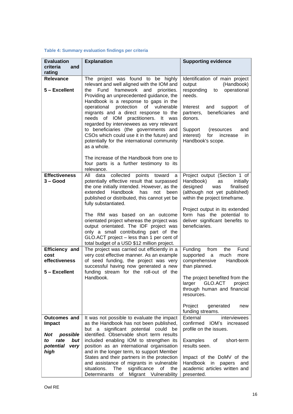#### **Table 4: Summary evaluation findings per criteria**

| <b>Evaluation</b><br>criteria<br>and<br>rating                                                     | <b>Explanation</b>                                                                                                                                                                                                                                                                                                                                                                                                                                                                                                                | <b>Supporting evidence</b>                                                                                                                                                                                                                                                          |
|----------------------------------------------------------------------------------------------------|-----------------------------------------------------------------------------------------------------------------------------------------------------------------------------------------------------------------------------------------------------------------------------------------------------------------------------------------------------------------------------------------------------------------------------------------------------------------------------------------------------------------------------------|-------------------------------------------------------------------------------------------------------------------------------------------------------------------------------------------------------------------------------------------------------------------------------------|
| <b>Relevance</b><br>5 - Excellent                                                                  | The project was found to be highly<br>relevant and well aligned with the IOM and<br>Fund<br>framework and<br>priorities.<br>the<br>Providing an unprecedented guidance, the<br>Handbook is a response to gaps in the<br>protection of vulnerable<br>operational<br>migrants and a direct response to the<br>needs of IOM practitioners. It was<br>regarded by interviewees as very relevant<br>to beneficiaries (the governments and<br>CSOs which could use it in the future) and<br>potentially for the international community | Identification of main project<br>(Handbook)<br>output<br>responding<br>operational<br>to<br>needs.<br>of<br>Interest<br>and<br>support<br>beneficiaries<br>and<br>partners,<br>donors.<br>Support<br>(resources<br>and<br>interest)<br>for<br>increase<br>in.<br>Handbook's scope. |
|                                                                                                    | as a whole.<br>The increase of the Handbook from one to<br>four parts is a further testimony to its<br>relevance.                                                                                                                                                                                                                                                                                                                                                                                                                 |                                                                                                                                                                                                                                                                                     |
| <b>Effectiveness</b><br>$3 - Good$                                                                 | collected<br>data<br>All<br>points<br>toward<br>a<br>potentially effective result that surpassed<br>the one initially intended. However, as the<br>Handbook<br>extended<br>has<br>not<br>been<br>published or distributed, this cannot yet be<br>fully substantiated.                                                                                                                                                                                                                                                             | Project output (Section 1 of<br>Handbook)<br>as<br>initially<br>designed<br>finalised<br>was<br>(although not yet published)<br>within the project timeframe.                                                                                                                       |
|                                                                                                    | The RM was based on an outcome<br>orientated project whereas the project was<br>output orientated. The IDF project was<br>only a small contributing part of the<br>GLO.ACT project - less than 1 per cent of<br>total budget of a USD \$12 million project.                                                                                                                                                                                                                                                                       | Project output in its extended<br>form has the potential to<br>deliver significant benefits to<br>beneficiaries.                                                                                                                                                                    |
| Efficiency and<br>cost<br>effectiveness<br>5 - Excellent                                           | The project was carried out efficiently in a<br>very cost effective manner. As an example<br>of seed funding, the project was very<br>successful having now generated a new<br>funding stream for the roll-out of the<br>Handbook.                                                                                                                                                                                                                                                                                                | Funding<br>Fund<br>from<br>the<br>supported<br>much<br>more<br>a<br>comprehensive<br>Handbook<br>than planned.<br>The project benefited from the<br>GLO.ACT<br>larger<br>project<br>through human and financial<br>resources.                                                       |
|                                                                                                    |                                                                                                                                                                                                                                                                                                                                                                                                                                                                                                                                   | Project<br>generated<br>new<br>funding streams.                                                                                                                                                                                                                                     |
| Outcomes and<br><b>Impact</b><br>Not<br>possible<br>rate<br>but<br>to<br>potential<br>very<br>high | It was not possible to evaluate the impact<br>as the Handbook has not been published,<br>significant potential could<br>but a<br>be<br>identified. Observable short term results<br>included enabling IOM to strengthen its<br>position as an international organisation<br>and in the longer term, to support Member<br>States and their partners in the protection<br>and assistance of migrants in vulnerable<br>situations.<br>The<br>significance<br>of<br>the<br>Migrant Vulnerability<br>Determinants<br>of                | External<br>interviewees<br>confirmed<br>IOM's<br>increased<br>profile on the issues.<br>Examples<br>οf<br>short-term<br>results seen.<br>Impact of the DoMV of the<br>Handbook<br>in<br>papers<br>and<br>academic articles written and<br>presented.                               |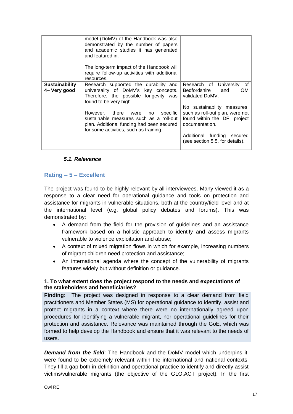|                                       | model (DoMV) of the Handbook was also<br>demonstrated by the number of papers<br>and academic studies it has generated<br>and featured in.<br>The long-term impact of the Handbook will<br>require follow-up activities with additional<br>resources.                                                                 |                                                                                                                                                                                                                                                                     |
|---------------------------------------|-----------------------------------------------------------------------------------------------------------------------------------------------------------------------------------------------------------------------------------------------------------------------------------------------------------------------|---------------------------------------------------------------------------------------------------------------------------------------------------------------------------------------------------------------------------------------------------------------------|
| <b>Sustainability</b><br>4- Very good | Research supported the durability and<br>universality of DoMV's key concepts.<br>Therefore, the possible longevity was<br>found to be very high.<br>However, there were no specific<br>sustainable measures such as a roll-out<br>plan. Additional funding had been secured<br>for some activities, such as training. | Research of University<br>οf<br>Bedfordshire<br>and<br>IOM.<br>validated DoMV.<br>No sustainability measures,<br>such as roll-out plan, were not<br>found within the IDF project<br>documentation.<br>Additional funding secured<br>(see section 5.5. for details). |

#### <span id="page-16-0"></span>*5.1. Relevance*

#### **Rating – 5 – Excellent**

The project was found to be highly relevant by all interviewees. Many viewed it as a response to a clear need for operational guidance and tools on protection and assistance for migrants in vulnerable situations, both at the country/field level and at the international level (e.g. global policy debates and forums). This was demonstrated by:

- A demand from the field for the provision of guidelines and an assistance framework based on a holistic approach to identify and assess migrants vulnerable to violence exploitation and abuse;
- A context of mixed migration flows in which for example, increasing numbers of migrant children need protection and assistance;
- An international agenda where the concept of the vulnerability of migrants features widely but without definition or guidance.

#### **1. To what extent does the project respond to the needs and expectations of the stakeholders and beneficiaries?**

**Finding**: The project was designed in response to a clear demand from field practitioners and Member States (MS) for operational guidance to identify, assist and protect migrants in a context where there were no internationally agreed upon procedures for identifying a vulnerable migrant, nor operational guidelines for their protection and assistance. Relevance was maintained through the GoE, which was formed to help develop the Handbook and ensure that it was relevant to the needs of users.

**Demand from the field:** The Handbook and the DoMV model which underpins it, were found to be extremely relevant within the international and national contexts. They fill a gap both in definition and operational practice to identify and directly assist victims/vulnerable migrants (the objective of the GLO.ACT project). In the first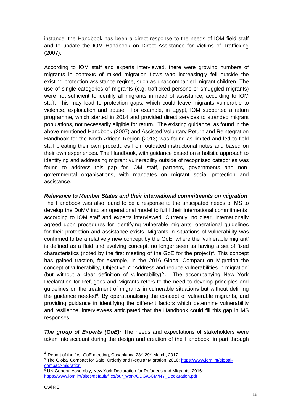instance, the Handbook has been a direct response to the needs of IOM field staff and to update the IOM Handbook on Direct Assistance for Victims of Trafficking (2007).

According to IOM staff and experts interviewed, there were growing numbers of migrants in contexts of mixed migration flows who increasingly fell outside the existing protection assistance regime, such as unaccompanied migrant children. The use of single categories of migrants (e.g. trafficked persons or smuggled migrants) were not sufficient to identify all migrants in need of assistance, according to IOM staff. This may lead to protection gaps, which could leave migrants vulnerable to violence, exploitation and abuse. For example, in Egypt, IOM supported a return programme, which started in 2014 and provided direct services to stranded migrant populations, not necessarily eligible for return. The existing guidance, as found in the above-mentioned Handbook (2007) and Assisted Voluntary Return and Reintegration Handbook for the North African Region (2013) was found as limited and led to field staff creating their own procedures from outdated instructional notes and based on their own experiences. The Handbook, with guidance based on a holistic approach to identifying and addressing migrant vulnerability outside of recognised categories was found to address this gap for IOM staff, partners, governments and nongovernmental organisations, with mandates on migrant social protection and assistance.

*Relevance to Member States and their international commitments on migration*: The Handbook was also found to be a response to the anticipated needs of MS to develop the DoMV into an operational model to fulfil their international commitments, according to IOM staff and experts interviewed. Currently, no clear, internationally agreed upon procedures for identifying vulnerable migrants' operational guidelines for their protection and assistance exists. Migrants in situations of vulnerability was confirmed to be a relatively new concept by the GoE, where the 'vulnerable migrant' is defined as a fluid and evolving concept, no longer seen as having a set of fixed characteristics (noted by the first meeting of the GoE for the project) 4 . This concept has gained traction, for example, in the 2016 Global Compact on Migration the concept of vulnerability, Objective 7: 'Address and reduce vulnerabilities in migration' (but without a clear definition of vulnerability)<sup>5</sup>. The accompanying New York Declaration for Refugees and Migrants refers to the need to develop principles and guidelines on the treatment of migrants in vulnerable situations but without defining the guidance needed<sup>6</sup>. By operationalising the concept of vulnerable migrants, and providing guidance in identifying the different factors which determine vulnerability and resilience, interviewees anticipated that the Handbook could fill this gap in MS responses.

*The group of Experts (GoE):* The needs and expectations of stakeholders were taken into account during the design and creation of the Handbook, in part through

 $^4$  Report of the first GoE meeting, Casablanca 28<sup>th</sup>-29<sup>th</sup> March, 2017.

<sup>5</sup> The Global Compact for Safe, Orderly and Regular Migration, 2016: [https://www.iom.int/global](https://www.iom.int/global-compact-migration)[compact-migration](https://www.iom.int/global-compact-migration)

 $6$  UN General Assembly, New York Declaration for Refugees and Migrants, 2016: [https://www.iom.int/sites/default/files/our\\_work/ODG/GCM/NY\\_Declaration.pdf](https://www.iom.int/sites/default/files/our_work/ODG/GCM/NY_Declaration.pdf)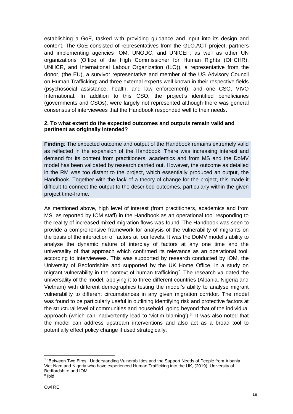establishing a GoE, tasked with providing guidance and input into its design and content. The GoE consisted of representatives from the GLO.ACT project, partners and implementing agencies IOM, UNODC, and UNICEF, as well as other UN organizations (Office of the High Commissioner for Human Rights (OHCHR), UNHCR, and International Labour Organization (ILO)), a representative from the donor, (the EU), a survivor representative and member of the US Advisory Council on Human Trafficking; and three external experts well known in their respective fields (psychosocial assistance, health, and law enforcement), and one CSO, VIVO International. In addition to this CSO, the project's identified beneficiaries (governments and CSOs), were largely not represented although there was general consensus of interviewees that the Handbook responded well to their needs.

### **2. To what extent do the expected outcomes and outputs remain valid and pertinent as originally intended?**

**Finding**: The expected outcome and output of the Handbook remains extremely valid as reflected in the expansion of the Handbook. There was increasing interest and demand for its content from practitioners, academics and from MS and the DoMV model has been validated by research carried out. However, the outcome as detailed in the RM was too distant to the project, which essentially produced an output, the Handbook. Together with the lack of a theory of change for the project, this made it difficult to connect the output to the described outcomes, particularly within the given project time-frame.

As mentioned above, high level of interest (from practitioners, academics and from MS, as reported by IOM staff) in the Handbook as an operational tool responding to the reality of increased mixed migration flows was found. The Handbook was seen to provide a comprehensive framework for analysis of the vulnerability of migrants on the basis of the interaction of factors at four levels. It was the DoMV model's ability to analyse the dynamic nature of interplay of factors at any one time and the universality of that approach which confirmed its relevance as an operational tool, according to interviewees. This was supported by research conducted by IOM, the University of Bedfordshire and supported by the UK Home Office, in a study on migrant vulnerability in the context of human trafficking<sup>7</sup>. The research validated the universality of the model, applying it to three different countries (Albania, Nigeria and Vietnam) with different demographics testing the model's ability to analyse migrant vulnerability to different circumstances in any given migration corridor. The model was found to be particularly useful in outlining identifying risk and protective factors at the structural level of communities and household, going beyond that of the individual approach (which can inadvertently lead to 'victim blaming').<sup>8</sup> It was also noted that the model can address upstream interventions and also act as a broad tool to potentially effect policy change if used strategically.

<sup>&</sup>lt;sup>7</sup> `Between Two Fires': Understanding Vulnerabilities and the Support Needs of People from Albania, Viet Nam and Nigeria who have experienced Human Trafficking into the UK, (2019), University of Bedfordshire and IOM.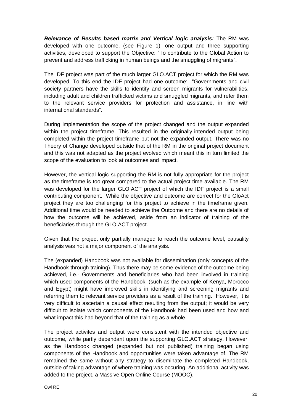*Relevance of Results based matrix and Vertical logic analysis:* The RM was developed with one outcome, (see Figure 1), one output and three supporting activities, developed to support the Objective: "To contribute to the Global Action to prevent and address trafficking in human beings and the smuggling of migrants".

The IDF project was part of the much larger GLO.ACT project for which the RM was developed. To this end the IDF project had one outcome: "Governments and civil society partners have the skills to identify and screen migrants for vulnerabilities, including adult and children trafficked victims and smuggled migrants, and refer them to the relevant service providers for protection and assistance, in line with international standards".

During implementation the scope of the project changed and the output expanded within the project timeframe. This resulted in the originally-intended output being completed within the project timeframe but not the expanded output. There was no Theory of Change developed outside that of the RM in the original project document and this was not adapted as the project evolved which meant this in turn limited the scope of the evaluation to look at outcomes and impact.

However, the vertical logic supporting the RM is not fully appropriate for the project as the timeframe is too great compared to the actual project time available. The RM was developed for the larger GLO.ACT project of which the IDF project is a small contributing component. While the objective and outcome are correct for the GloAct project they are too challenging for this project to achieve in the timeframe given. Additional time would be needed to achieve the Outcome and there are no details of how the outcome will be achieved, aside from an indicator of training of the beneficiaries through the GLO.ACT project.

Given that the project only partially managed to reach the outcome level, causality analysis was not a major component of the analysis.

The (expanded) Handbook was not available for dissemination (only concepts of the Handbook through training). Thus there may be some evidence of the outcome being achieved, i.e.- Governments and beneficiaries who had been involved in training which used components of the Handbook, (such as the example of Kenya, Morocco and Egypt) might have improved skills in identifying and screening migrants and referring them to relevant service providers as a result of the training. However, it is very difficult to ascertain a causal effect resulting from the output; it would be very difficult to isolate which components of the Handbook had been used and how and what impact this had beyond that of the training as a whole.

The project activites and output were consistent with the intended objective and outcome, while partly dependant upon the supporting GLO.ACT strategy. However, as the Handbook changed (expanded but not published) training began using components of the Handbook and opportunities were taken advantage of. The RM remained the same without any strategy to diseminate the completed Handbook, outside of taking advantage of where training was occuring. An additional activity was added to the project, a Massive Open Online Course (MOOC).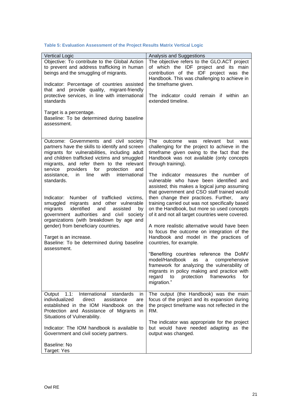| <b>Vertical Logic</b>                                                                                                                                                                                                                                                                                                                                                                                                                                                                                                                                                                                                                                                                                                                | Analysis and Suggestions                                                                                                                                                                                                                                                                                                                                                                                                                                                                                                                                                                                                                                                                                                                                                                                                                                                                                                                                                                                                            |
|--------------------------------------------------------------------------------------------------------------------------------------------------------------------------------------------------------------------------------------------------------------------------------------------------------------------------------------------------------------------------------------------------------------------------------------------------------------------------------------------------------------------------------------------------------------------------------------------------------------------------------------------------------------------------------------------------------------------------------------|-------------------------------------------------------------------------------------------------------------------------------------------------------------------------------------------------------------------------------------------------------------------------------------------------------------------------------------------------------------------------------------------------------------------------------------------------------------------------------------------------------------------------------------------------------------------------------------------------------------------------------------------------------------------------------------------------------------------------------------------------------------------------------------------------------------------------------------------------------------------------------------------------------------------------------------------------------------------------------------------------------------------------------------|
| Objective: To contribute to the Global Action<br>to prevent and address trafficking in human<br>beings and the smuggling of migrants.<br>Indicator: Percentage of countries assisted<br>that and provide quality, migrant-friendly<br>protective services, in line with international<br>standards<br>Target is a percentage.<br>Baseline: To be determined during baseline<br>assessment.                                                                                                                                                                                                                                                                                                                                           | The objective refers to the GLO.ACT project<br>of which the IDF project and its main<br>contribution of the IDF project was the<br>Handbook. This was challenging to achieve in<br>the timeframe given.<br>The indicator could remain if within an<br>extended timeline.                                                                                                                                                                                                                                                                                                                                                                                                                                                                                                                                                                                                                                                                                                                                                            |
| Outcome: Governments and civil society<br>partners have the skills to identify and screen<br>migrants for vulnerabilities, including adult<br>and children trafficked victims and smuggled<br>migrants, and refer them to the relevant<br>providers<br>for<br>service<br>protection<br>and<br>with<br>assistance,<br>line<br>international<br>in.<br>standards.<br>Number of trafficked victims,<br>Indicator:<br>migrants and other vulnerable<br>smuggled<br>identified<br>migrants<br>and<br>assisted<br>by<br>government authorities and civil society<br>organizations (with breakdown by age and<br>gender) from beneficiary countries.<br>Target is an increase.<br>Baseline: To be determined during baseline<br>assessment. | The<br>relevant<br>but<br>outcome<br>was<br>was<br>challenging for the project to achieve in the<br>timeframe given owing to the fact that the<br>Handbook was not available (only concepts<br>through training).<br>The indicator measures the number of<br>vulnerable who have been identified and<br>assisted; this makes a logical jump assuming<br>that government and CSO staff trained would<br>then change their practices. Further,<br>any<br>training carried out was not specifically based<br>on the Handbook, but more so used concepts<br>of it and not all target countries were covered.<br>A more realistic alternative would have been<br>to focus the outcome on integration of the<br>Handbook and model in the practices of<br>countries, for example.<br>"Benefiting countries reference the DoMV<br>model/Handbook<br>as<br>a<br>comprehensive<br>framework for analyzing the vulnerability of<br>migrants in policy making and practice with<br>protection<br>frameworks<br>regard to<br>for<br>migration." |
| 1.1:<br>International<br>standards<br>Output<br>in<br>individualized<br>direct<br>assistance<br>are<br>established in the IOM Handbook on the<br>Protection and Assistance of Migrants in<br>Situations of Vulnerability.<br>Indicator: The IOM handbook is available to<br>Government and civil society partners.<br>Baseline: No<br>Target: Yes                                                                                                                                                                                                                                                                                                                                                                                    | The output (the Handbook) was the main<br>focus of the project and its expansion during<br>the project timeframe was not reflected in the<br>RM.<br>The indicator was appropriate for the project<br>but would have needed adapting as the<br>output was changed.                                                                                                                                                                                                                                                                                                                                                                                                                                                                                                                                                                                                                                                                                                                                                                   |

#### **Table 5: Evaluation Assessment of the Project Results Matrix Vertical Logic**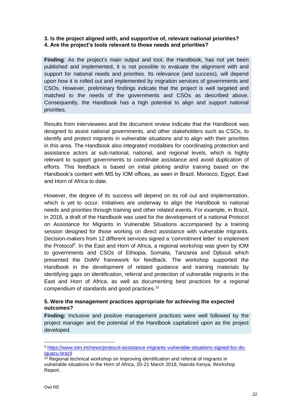### **3. Is the project aligned with, and supportive of, relevant national priorities? 4. Are the project's tools relevant to those needs and priorities?**

**Finding**: As the project's main output and tool, the Handbook, has not yet been published and implemented, it is not possible to evaluate the alignment with and support for national needs and priorities. Its relevance (and success), will depend upon how it is rolled out and implemented by migration services of governments and CSOs. However, preliminary findings indicate that the project is well targeted and matched to the needs of the governments and CSOs as described above. Consequently, the Handbook has a high potential to align and support national priorities.

Results from interviewees and the document review indicate that the Handbook was designed to assist national governments, and other stakeholders such as CSOs, to identify and protect migrants in vulnerable situations and to align with their priorities in this area. The Handbook also integrated modalities for coordinating protection and assistance actors at sub-national, national, and regional levels, which is highly relevant to support governments to coordinate assistance and avoid duplication of efforts. This feedback is based on initial piloting and/or training based on the Handbook's content with MS by IOM offices, as seen in Brazil, Morocco, Egypt, East and Horn of Africa to date.

However, the degree of its success will depend on its roll out and implementation, which is yet to occur. Initiatives are underway to align the Handbook to national needs and priorities through training and other related events. For example, in Brazil, in 2018, a draft of the Handbook was used for the development of a national Protocol on Assistance for Migrants in Vulnerable Situations accompanied by a training session designed for those working on direct assistance with vulnerable migrants. Decision-makers from 12 different services signed a 'commitment letter' to implement the Protocol<sup>9</sup>. In the East and Horn of Africa, a regional workshop was given by IOM to governments and CSOs of Ethiopia, Somalia, Tanzania and Djibouti which presented the DoMV framework for feedback. The workshop supported the Handbook in the development of related guidance and training materials by identifying gaps on identification, referral and protection of vulnerable migrants in the East and Horn of Africa, as well as documenting best practices for a regional compendium of standards and good practices. 10

#### **5. Were the management practices appropriate for achieving the expected outcomes?**

**Finding:** Inclusive and positive management practices were well followed by the project manager and the potential of the Handbook capitalized upon as the project developed.

<sup>9</sup> [https://www.iom.int/news/protocol-assistance-migrants-vulnerable-situations-signed-foz-do](https://www.iom.int/news/protocol-assistance-migrants-vulnerable-situations-signed-foz-do-iguacu-brazil)[iguacu-brazil](https://www.iom.int/news/protocol-assistance-migrants-vulnerable-situations-signed-foz-do-iguacu-brazil)

 $10$  Regional technical workshop on improving identification and referral of migrants in vulnerable situations in the Horn of Africa, 20-21 March 2018, Nairobi Kenya, Workshop Report.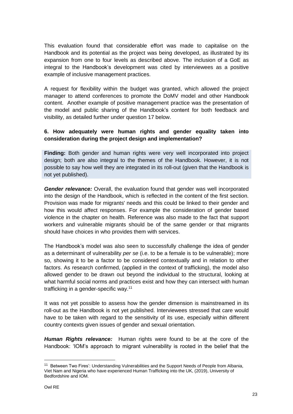This evaluation found that considerable effort was made to capitalise on the Handbook and its potential as the project was being developed, as illustrated by its expansion from one to four levels as described above. The inclusion of a GoE as integral to the Handbook's development was cited by interviewees as a positive example of inclusive management practices.

A request for flexibility within the budget was granted, which allowed the project manager to attend conferences to promote the DoMV model and other Handbook content. Another example of positive management practice was the presentation of the model and public sharing of the Handbook's content for both feedback and visibility, as detailed further under question 17 below.

### **6. How adequately were human rights and gender equality taken into consideration during the project design and implementation?**

**Finding:** Both gender and human rights were very well incorporated into project design; both are also integral to the themes of the Handbook. However, it is not possible to say how well they are integrated in its roll-out (given that the Handbook is not yet published).

*Gender relevance:* Overall, the evaluation found that gender was well incorporated into the design of the Handbook, which is reflected in the content of the first section. Provision was made for migrants' needs and this could be linked to their gender and how this would affect responses. For example the consideration of gender based violence in the chapter on health. Reference was also made to the fact that support workers and vulnerable migrants should be of the same gender or that migrants should have choices in who provides them with services.

The Handbook's model was also seen to successfully challenge the idea of gender as a determinant of vulnerability *per se* (i.e. to be a female is to be vulnerable); more so, showing it to be a factor to be considered contextually and in relation to other factors. As research confirmed, (applied in the context of trafficking), the model also allowed gender to be drawn out beyond the individual to the structural, looking at what harmful social norms and practices exist and how they can intersect with human trafficking in a gender-specific way.<sup>11</sup>

It was not yet possible to assess how the gender dimension is mainstreamed in its roll-out as the Handbook is not yet published. Interviewees stressed that care would have to be taken with regard to the sensitivity of its use, especially within different country contexts given issues of gender and sexual orientation.

*Human Rights relevance:* Human rights were found to be at the core of the Handbook: 'IOM's approach to migrant vulnerability is rooted in the belief that the

<sup>11</sup> Between Two Fires': Understanding Vulnerabilities and the Support Needs of People from Albania, Viet Nam and Nigeria who have experienced Human Trafficking into the UK, (2019), University of Bedfordshire and IOM.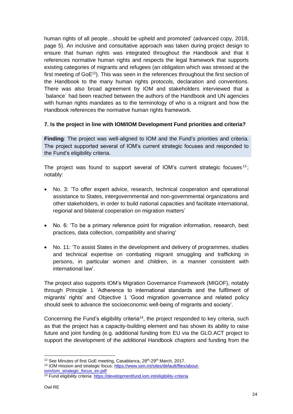human rights of all people…should be upheld and promoted' (advanced copy, 2018, page 5). An inclusive and consultative approach was taken during project design to ensure that human rights was integrated throughout the Handbook and that it references normative human rights and respects the legal framework that supports existing categories of migrants and refugees (an obligation which was stressed at the first meeting of GoE<sup>12</sup>). This was seen in the references throughout the first section of the Handbook to the many human rights protocols, declaration and conventions. There was also broad agreement by IOM and stakeholders interviewed that a `balance` had been reached between the authors of the Handbook and UN agencies with human rights mandates as to the terminology of who is a migrant and how the Handbook references the normative human rights framework.

### **7. Is the project in line with IOM/IOM Development Fund priorities and criteria?**

**Finding**: The project was well‐aligned to IOM and the Fund's priorities and criteria. The project supported several of IOM's current strategic focuses and responded to the Fund's eligibility criteria.

The project was found to support several of IOM's current strategic focuses<sup>13</sup>; notably:

- No. 3: 'To offer expert advice, research, technical cooperation and operational assistance to States, intergovernmental and non-governmental organizations and other stakeholders, in order to build national capacities and facilitate international, regional and bilateral cooperation on migration matters'
- No. 6: 'To be a primary reference point for migration information, research, best practices, data collection, compatibility and sharing'
- No. 11: 'To assist States in the development and delivery of programmes, studies and technical expertise on combating migrant smuggling and trafficking in persons, in particular women and children, in a manner consistent with international law'.

The project also supports IOM's Migration Governance Framework (MIGOF), notably through Principle 1 'Adherence to international standards and the fulfilment of migrants' rights' and Objective 1 'Good migration governance and related policy should seek to advance the socioeconomic well-being of migrants and society'.

Concerning the Fund's eligibility criteria<sup>14</sup>, the project responded to key criteria, such as that the project has a capacity-building element and has shown its ability to raise future and joint funding (e.g. additional funding from EU via the GLO.ACT project to support the development of the additional Handbook chapters and funding from the

<sup>&</sup>lt;sup>12</sup> See Minutes of first GoE meeting, Casablanca, 28<sup>th</sup>-29<sup>th</sup> March, 2017.

<sup>&</sup>lt;sup>13</sup> IOM mission and strategic focus: [https://www.iom.int/sites/default/files/about](https://www.iom.int/sites/default/files/about-iom/iom_strategic_focus_en.pdf)[iom/iom\\_strategic\\_focus\\_en.pdf](https://www.iom.int/sites/default/files/about-iom/iom_strategic_focus_en.pdf)

<sup>14</sup> Fund eligibility criteria[: https://developmentfund.iom.int/eligibility-criteria](https://developmentfund.iom.int/eligibility-criteria)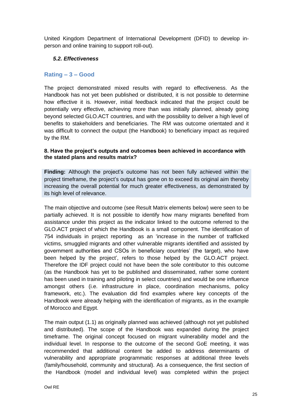United Kingdom Department of International Development (DFID) to develop inperson and online training to support roll-out).

### <span id="page-24-0"></span>*5.2. Effectiveness*

### **Rating – 3 – Good**

The project demonstrated mixed results with regard to effectiveness. As the Handbook has not yet been published or distributed, it is not possible to determine how effective it is. However, initial feedback indicated that the project could be potentially very effective, achieving more than was initially planned, already going beyond selected GLO.ACT countries, and with the possibility to deliver a high level of benefits to stakeholders and beneficiaries. The RM was outcome orientated and it was difficult to connect the output (the Handbook) to beneficiary impact as required by the RM.

#### **8. Have the project's outputs and outcomes been achieved in accordance with the stated plans and results matrix?**

**Finding:** Although the project's outcome has not been fully achieved within the project timeframe, the project's output has gone on to exceed its original aim thereby increasing the overall potential for much greater effectiveness, as demonstrated by its high level of relevance.

The main objective and outcome (see Result Matrix elements below) were seen to be partially achieved. It is not possible to identify how many migrants benefited from assistance under this project as the indicator linked to the outcome referred to the GLO.ACT project of which the Handbook is a small component. The identification of 754 individuals in project reporting as an 'increase in the number of trafficked victims, smuggled migrants and other vulnerable migrants identified and assisted by government authorities and CSOs in beneficiary countries' (the target), who have been helped by the project', refers to those helped by the GLO.ACT project. Therefore the IDF project could not have been the sole contributor to this outcome (as the Handbook has yet to be published and disseminated, rather some content has been used in training and piloting in select countries) and would be one influence amongst others (i.e. infrastructure in place, coordination mechanisms, policy framework, etc.). The evaluation did find examples where key concepts of the Handbook were already helping with the identification of migrants, as in the example of Morocco and Egypt.

The main output (1.1) as originally planned was achieved (although not yet published and distributed). The scope of the Handbook was expanded during the project timeframe. The original concept focused on migrant vulnerability model and the individual level. In response to the outcome of the second GoE meeting, it was recommended that additional content be added to address determinants of vulnerability and appropriate programmatic responses at additional three levels (family/household, community and structural). As a consequence, the first section of the Handbook (model and individual level) was completed within the project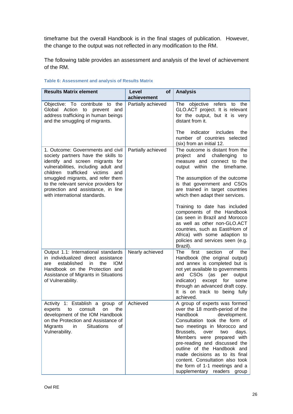timeframe but the overall Handbook is in the final stages of publication. However, the change to the output was not reflected in any modification to the RM.

The following table provides an assessment and analysis of the level of achievement of the RM.

| <b>Results Matrix element</b>                                                                                                                                                                                              | Level<br>of<br>achievement | <b>Analysis</b>                                                                                                                                                                                                                                                                                                                                                                                                                       |
|----------------------------------------------------------------------------------------------------------------------------------------------------------------------------------------------------------------------------|----------------------------|---------------------------------------------------------------------------------------------------------------------------------------------------------------------------------------------------------------------------------------------------------------------------------------------------------------------------------------------------------------------------------------------------------------------------------------|
| Objective: To contribute to<br>the<br>Global Action<br>and<br>to<br>prevent<br>address trafficking in human beings<br>and the smuggling of migrants.                                                                       | Partially achieved         | objective refers<br>The<br>the<br>to<br>GLO.ACT project. It is relevant<br>for the output, but it is very<br>distant from it.<br>indicator<br>includes<br>The<br>the                                                                                                                                                                                                                                                                  |
|                                                                                                                                                                                                                            |                            | number of countries selected<br>(six) from an initial 12.                                                                                                                                                                                                                                                                                                                                                                             |
| 1. Outcome: Governments and civil<br>society partners have the skills to<br>identify and screen migrants for<br>vulnerabilities, including adult and<br>children<br>trafficked<br>victims<br>and                           | Partially achieved         | The outcome is distant from the<br>project<br>and<br>challenging<br>to<br>measure and connect to the<br>output within the timeframe.                                                                                                                                                                                                                                                                                                  |
| smuggled migrants, and refer them<br>to the relevant service providers for<br>protection and assistance, in line<br>with international standards.                                                                          |                            | The assumption of the outcome<br>is that government and CSOs<br>are trained in target countries<br>which then adapt their services.                                                                                                                                                                                                                                                                                                   |
|                                                                                                                                                                                                                            |                            | Training to date has included<br>components of the Handbook<br>(as seen in Brazil and Morocco<br>as well as other non-GLO.ACT<br>countries, such as East/Horn of<br>Africa) with some adaption to<br>policies and services seen (e.g.<br>Brazil).                                                                                                                                                                                     |
| Output 1.1: International standards<br>in individualized direct assistance<br>established<br>the<br><b>IOM</b><br>in<br>are<br>Handbook on the Protection and<br>Assistance of Migrants in Situations<br>of Vulnerability. | Nearly achieved            | first<br>section<br>of<br>The<br>the<br>Handbook (the original output)<br>and annex is completed but is<br>not yet available to governments<br>and CSOs<br>(as<br>per<br>output<br>indicator)<br>except for<br>some<br>through an advanced draft copy.<br>It is on track to being fully<br>achieved.                                                                                                                                  |
| Activity 1: Establish a group of<br>consult<br>experts<br>to<br>the<br>on<br>development of the IOM Handbook<br>on the Protection and Assistance of<br>Migrants<br><b>Situations</b><br>in<br>of<br>Vulnerability.         | Achieved                   | A group of experts was formed<br>over the 18 month-period of the<br>Handbook<br>development.<br>Consultation took the form of<br>two meetings in Morocco and<br>Brussels,<br>over<br>days.<br>two<br>Members were prepared with<br>pre-reading and discussed the<br>outline of the Handbook and<br>made decisions as to its final<br>content. Consultation also took<br>the form of 1-1 meetings and a<br>supplementary readers group |

#### **Table 6: Assessment and analysis of Results Matrix**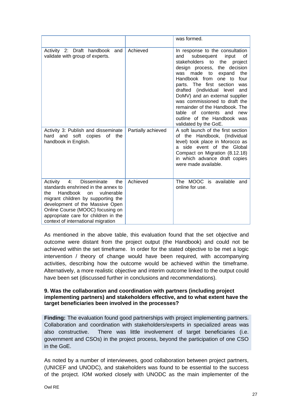|                                                                                                                                                                                                                                                                                                               |                    | was formed.                                                                                                                                                                                                                                                                                                                                                                                                                                                                           |
|---------------------------------------------------------------------------------------------------------------------------------------------------------------------------------------------------------------------------------------------------------------------------------------------------------------|--------------------|---------------------------------------------------------------------------------------------------------------------------------------------------------------------------------------------------------------------------------------------------------------------------------------------------------------------------------------------------------------------------------------------------------------------------------------------------------------------------------------|
| Activity 2: Draft<br>handbook<br>and<br>validate with group of experts.                                                                                                                                                                                                                                       | Achieved           | In response to the consultation<br>subsequent<br>input<br>and<br>οf<br>stakeholders to<br>the<br>project<br>the decision<br>design process,<br>was made<br>to<br>the<br>expand<br>Handbook from<br>one to<br>four<br>parts. The first section<br>was<br>drafted (individual level<br>and<br>DoMV) and an external supplier<br>was commissioned to draft the<br>remainder of the Handbook. The<br>table of contents and<br>new<br>outline of the Handbook was<br>validated by the GoE. |
| Activity 3: Publish and disseminate<br>hard and soft copies of the<br>handbook in English.                                                                                                                                                                                                                    | Partially achieved | A soft launch of the first section<br>of the Handbook, (Individual<br>level) took place in Morocco as<br>side event of the Global<br>a<br>Compact on Migration (8.12.18)<br>in which advance draft copies<br>were made available.                                                                                                                                                                                                                                                     |
| Disseminate<br>4:<br>the<br>Activity<br>standards enshrined in the annex to<br>Handbook<br>vulnerable<br>the<br>on<br>migrant children by supporting the<br>development of the Massive Open<br>Online Course (MOOC) focusing on<br>appropriate care for children in the<br>context of international migration | Achieved           | The MOOC is available<br>and<br>online for use.                                                                                                                                                                                                                                                                                                                                                                                                                                       |

As mentioned in the above table, this evaluation found that the set objective and outcome were distant from the project output (the Handbook) and could not be achieved within the set timeframe. In order for the stated objective to be met a logic intervention / theory of change would have been required, with accompanying activities, describing how the outcome would be achieved within the timeframe. Alternatively, a more realistic objective and interim outcome linked to the output could have been set (discussed further in conclusions and recommendations).

#### **9. Was the collaboration and coordination with partners (including project implementing partners) and stakeholders effective, and to what extent have the target beneficiaries been involved in the processes?**

**Finding:** The evaluation found good partnerships with project implementing partners. Collaboration and coordination with stakeholders/experts in specialized areas was also constructive. There was little involvement of target beneficiaries (i.e. government and CSOs) in the project process, beyond the participation of one CSO in the GoE.

As noted by a number of interviewees, good collaboration between project partners, (UNICEF and UNODC), and stakeholders was found to be essential to the success of the project. IOM worked closely with UNODC as the main implementer of the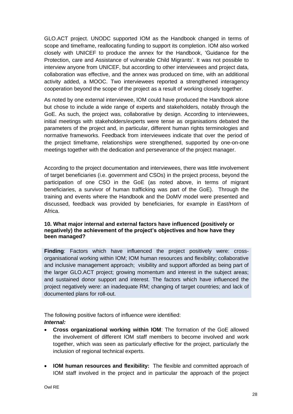GLO.ACT project. UNODC supported IOM as the Handbook changed in terms of scope and timeframe, reallocating funding to support its completion. IOM also worked closely with UNICEF to produce the annex for the Handbook, 'Guidance for the Protection, care and Assistance of vulnerable Child Migrants'. It was not possible to interview anyone from UNICEF, but according to other interviewees and project data, collaboration was effective, and the annex was produced on time, with an additional activity added, a MOOC. Two interviewees reported a strengthened interagency cooperation beyond the scope of the project as a result of working closely together.

As noted by one external interviewee, IOM could have produced the Handbook alone but chose to include a wide range of experts and stakeholders, notably through the GoE. As such, the project was, collaborative by design. According to interviewees, initial meetings with stakeholders/experts were tense as organisations debated the parameters of the project and, in particular, different human rights terminologies and normative frameworks. Feedback from interviewees indicate that over the period of the project timeframe, relationships were strengthened, supported by one-on-one meetings together with the dedication and perseverance of the project manager.

According to the project documentation and interviewees, there was little involvement of target beneficiaries (i.e. government and CSOs) in the project process, beyond the participation of one CSO in the GoE (as noted above, in terms of migrant beneficiaries, a survivor of human trafficking was part of the GoE). Through the training and events where the Handbook and the DoMV model were presented and discussed, feedback was provided by beneficiaries, for example in East/Horn of Africa.

### **10. What major internal and external factors have influenced (positively or negatively) the achievement of the project's objectives and how have they been managed?**

**Finding**: Factors which have influenced the project positively were: crossorganisational working within IOM; IOM human resources and flexibility; collaborative and inclusive management approach; visibility and support afforded as being part of the larger GLO.ACT project; growing momentum and interest in the subject areas; and sustained donor support and interest. The factors which have influenced the project negatively were: an inadequate RM; changing of target countries; and lack of documented plans for roll-out.

The following positive factors of influence were identified: *Internal:* 

- **Cross organizational working within IOM**: The formation of the GoE allowed the involvement of different IOM staff members to become involved and work together, which was seen as particularly effective for the project, particularly the inclusion of regional technical experts.
- **IOM human resources and flexibility:** The flexible and committed approach of IOM staff involved in the project and in particular the approach of the project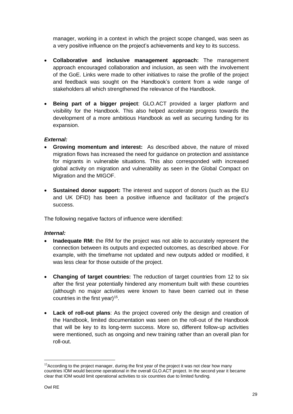manager, working in a context in which the project scope changed, was seen as a very positive influence on the project's achievements and key to its success.

- **Collaborative and inclusive management approach:** The management approach encouraged collaboration and inclusion, as seen with the involvement of the GoE. Links were made to other initiatives to raise the profile of the project and feedback was sought on the Handbook's content from a wide range of stakeholders all which strengthened the relevance of the Handbook.
- **Being part of a bigger project**: GLO.ACT provided a larger platform and visibility for the Handbook. This also helped accelerate progress towards the development of a more ambitious Handbook as well as securing funding for its expansion.

### *External:*

- **Growing momentum and interest:** As described above, the nature of mixed migration flows has increased the need for guidance on protection and assistance for migrants in vulnerable situations. This also corresponded with increased global activity on migration and vulnerability as seen in the Global Compact on Migration and the MIGOF.
- **Sustained donor support:** The interest and support of donors (such as the EU and UK DFID) has been a positive influence and facilitator of the project's success.

The following negative factors of influence were identified:

#### *Internal:*

- **Inadequate RM:** the RM for the project was not able to accurately represent the connection between its outputs and expected outcomes, as described above. For example, with the timeframe not updated and new outputs added or modified, it was less clear for those outside of the project.
- **Changing of target countries:** The reduction of target countries from 12 to six after the first year potentially hindered any momentum built with these countries (although no major activities were known to have been carried out in these countries in the first year)<sup>15</sup>.
- **Lack of roll-out plans**: As the project covered only the design and creation of the Handbook, limited documentation was seen on the roll-out of the Handbook that will be key to its long-term success. More so, different follow-up activities were mentioned, such as ongoing and new training rather than an overall plan for roll-out.

<sup>&</sup>lt;sup>15</sup> According to the project manager, during the first year of the project it was not clear how many countries IOM would become operational in the overall GLO.ACT project. In the second year it became clear that IOM would limit operational activities to six countries due to limited funding.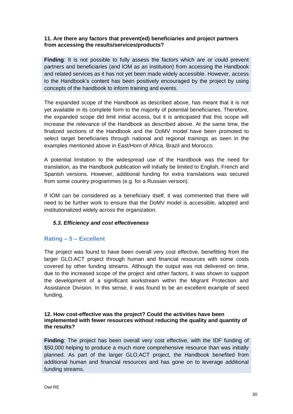#### **11. Are there any factors that prevent(ed) beneficiaries and project partners from accessing the results/services/products?**

**Finding**: It is not possible to fully assess the factors which are or could prevent partners and beneficiaries (and IOM as an institution) from accessing the Handbook and related services as it has not yet been made widely accessible. However, access to the Handbook's content has been positively encouraged by the project by using concepts of the handbook to inform training and events.

The expanded scope of the Handbook as described above, has meant that it is not yet available in its complete form to the majority of potential beneficiaries. Therefore, the expanded scope did limit initial access, but it is anticipated that this scope will increase the relevance of the Handbook as described above. At the same time, the finalized sections of the Handbook and the DoMV model have been promoted to select target beneficiaries through national and regional trainings as seen in the examples mentioned above in East/Horn of Africa, Brazil and Morocco.

A potential limitation to the widespread use of the Handbook was the need for translation, as the Handbook publication will initially be limited to English, French and Spanish versions. However, additional funding for extra translations was secured from some country programmes (e.g. for a Russian version).

If IOM can be considered as a beneficiary itself, it was commented that there will need to be further work to ensure that the DoMV model is accessible, adopted and institutionalized widely across the organization.

#### <span id="page-29-0"></span>*5.3. Efficiency and cost effectiveness*

### **Rating – 5 – Excellent**

The project was found to have been overall very cost effective, benefitting from the larger GLO.ACT project through human and financial resources with some costs covered by other funding streams. Although the output was not delivered on time, due to the increased scope of the project and other factors, it was shown to support the development of a significant workstream within the Migrant Protection and Assistance Division. In this sense, it was found to be an excellent example of seed funding.

#### **12. How cost-effective was the project? Could the activities have been implemented with fewer resources without reducing the quality and quantity of the results?**

**Finding**: The project has been overall very cost effective, with the IDF funding of \$50,000 helping to produce a much more comprehensive resource than was initially planned. As part of the larger GLO.ACT project, the Handbook benefited from additional human and financial resources and has gone on to leverage additional funding streams.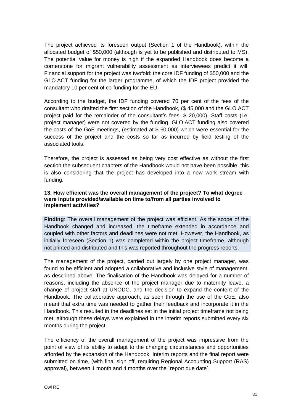The project achieved its foreseen output (Section 1 of the Handbook), within the allocated budget of \$50,000 (although is yet to be published and distributed to MS). The potential value for money is high if the expanded Handbook does become a cornerstone for migrant vulnerability assessment as interviewees predict it will. Financial support for the project was twofold: the core IDF funding of \$50,000 and the GLO.ACT funding for the larger programme, of which the IDF project provided the mandatory 10 per cent of co-funding for the EU.

According to the budget, the IDF funding covered 70 per cent of the fees of the consultant who drafted the first section of the Handbook, (\$ 45,000 and the GLO.ACT project paid for the remainder of the consultant's fees, \$ 20,000). Staff costs (i.e. project manager) were not covered by the funding. GLO.ACT funding also covered the costs of the GoE meetings, (estimated at \$ 60,000) which were essential for the success of the project and the costs so far as incurred by field testing of the associated tools.

Therefore, the project is assessed as being very cost effective as without the first section the subsequent chapters of the Handbook would not have been possible; this is also considering that the project has developed into a new work stream with funding.

#### **13. How efficient was the overall management of the project? To what degree were inputs provided/available on time to/from all parties involved to implement activities?**

**Finding**: The overall management of the project was efficient. As the scope of the Handbook changed and increased, the timeframe extended in accordance and coupled with other factors and deadlines were not met. However, the Handbook, as initially foreseen (Section 1) was completed within the project timeframe, although not printed and distributed and this was reported throughout the progress reports.

The management of the project, carried out largely by one project manager, was found to be efficient and adopted a collaborative and inclusive style of management, as described above. The finalisation of the Handbook was delayed for a number of reasons, including the absence of the project manager due to maternity leave, a change of project staff at UNODC, and the decision to expand the content of the Handbook. The collaborative approach, as seen through the use of the GoE, also meant that extra time was needed to gather their feedback and incorporate it in the Handbook. This resulted in the deadlines set in the initial project timeframe not being met, although these delays were explained in the interim reports submitted every six months during the project.

The efficiency of the overall management of the project was impressive from the point of view of its ability to adapt to the changing circumstances and opportunities afforded by the expansion of the Handbook. Interim reports and the final report were submitted on time, (with final sign off, requiring Regional Accounting Support (RAS) approval), between 1 month and 4 months over the `report due date`.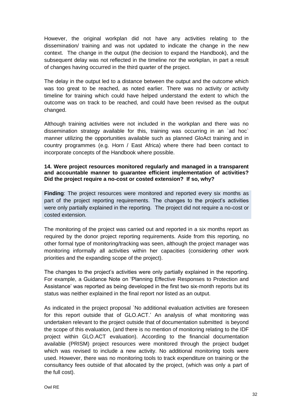However, the original workplan did not have any activities relating to the dissemination/ training and was not updated to indicate the change in the new context. The change in the output (the decision to expand the Handbook), and the subsequent delay was not reflected in the timeline nor the workplan, in part a result of changes having occurred in the third quarter of the project.

The delay in the output led to a distance between the output and the outcome which was too great to be reached, as noted earlier. There was no activity or activity timeline for training which could have helped understand the extent to which the outcome was on track to be reached, and could have been revised as the output changed.

Although training activities were not included in the workplan and there was no dissemination strategy available for this, training was occurring in an `ad hoc` manner utilizing the opportunities available such as planned GloAct training and in country programmes (e.g. Horn / East Africa) where there had been contact to incorporate concepts of the Handbook where possible.

#### **14. Were project resources monitored regularly and managed in a transparent and accountable manner to guarantee efficient implementation of activities? Did the project require a no-cost or costed extension? If so, why?**

**Finding**: The project resources were monitored and reported every six months as part of the project reporting requirements. The changes to the project's activities were only partially explained in the reporting. The project did not require a no-cost or costed extension.

The monitoring of the project was carried out and reported in a six months report as required by the donor project reporting requirements. Aside from this reporting, no other formal type of monitoring/tracking was seen, although the project manager was monitoring informally all activities within her capacities (considering other work priorities and the expanding scope of the project).

The changes to the project's activities were only partially explained in the reporting. For example, a Guidance Note on 'Planning Effective Responses to Protection and Assistance' was reported as being developed in the first two six-month reports but its status was neither explained in the final report nor listed as an output.

As indicated in the project proposal `No additional evaluation activities are foreseen for this report outside that of GLO.ACT.' An analysis of what monitoring was undertaken relevant to the project outside that of documentation submitted is beyond the scope of this evaluation, (and there is no mention of monitoring relating to the IDF project within GLO.ACT evaluation). According to the financial documentation available (PRISM) project resources were monitored through the project budget which was revised to include a new activity. No additional monitoring tools were used. However, there was no monitoring tools to track expenditure on training or the consultancy fees outside of that allocated by the project, (which was only a part of the full cost).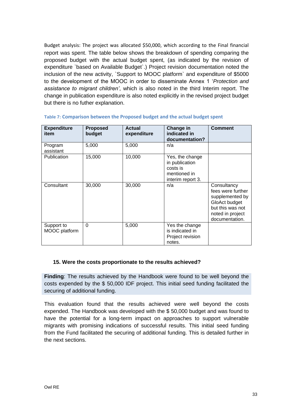Budget analysis: The project was allocated \$50,000, which according to the Final financial report was spent. The table below shows the breakdown of spending comparing the proposed budget with the actual budget spent, (as indicated by the revision of expenditure `based on Available Budget`.) Project revision documentation noted the inclusion of the new activity, `Support to MOOC platform` and expenditure of \$5000 to the development of the MOOC in order to disseminate Annex 1 '*Protection and assistance to migrant children'*, which is also noted in the third Interim report. The change in publication expenditure is also noted explicitly in the revised project budget but there is no futher explanation.

| <b>Expenditure</b><br>item  | <b>Proposed</b><br>budget | <b>Actual</b><br>expenditure | Change in<br>indicated in<br>documentation?                                        | <b>Comment</b>                                                                                                                 |
|-----------------------------|---------------------------|------------------------------|------------------------------------------------------------------------------------|--------------------------------------------------------------------------------------------------------------------------------|
| Program<br>assistant        | 5,000                     | 5,000                        | n/a                                                                                |                                                                                                                                |
| Publication                 | 15,000                    | 10,000                       | Yes, the change<br>in publication<br>costs is<br>mentioned in<br>interim report 3. |                                                                                                                                |
| Consultant                  | 30,000                    | 30,000                       | n/a                                                                                | Consultancy<br>fees were further<br>supplemented by<br>GloAct budget<br>but this was not<br>noted in project<br>documentation. |
| Support to<br>MOOC platform | $\Omega$                  | 5,000                        | Yes the change<br>is indicated in<br>Project revision<br>notes.                    |                                                                                                                                |

#### **Table 7: Comparison between the Proposed budget and the actual budget spent**

#### **15. Were the costs proportionate to the results achieved?**

**Finding**: The results achieved by the Handbook were found to be well beyond the costs expended by the \$ 50,000 IDF project. This initial seed funding facilitated the securing of additional funding.

This evaluation found that the results achieved were well beyond the costs expended. The Handbook was developed with the \$ 50,000 budget and was found to have the potential for a long-term impact on approaches to support vulnerable migrants with promising indications of successful results. This initial seed funding from the Fund facilitated the securing of additional funding. This is detailed further in the next sections.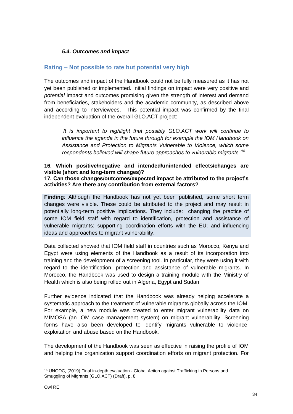### <span id="page-33-0"></span>*5.4. Outcomes and impact*

### **Rating – Not possible to rate but potential very high**

The outcomes and impact of the Handbook could not be fully measured as it has not yet been published or implemented. Initial findings on impact were very positive and *potential* impact and outcomes promising given the strength of interest and demand from beneficiaries, stakeholders and the academic community, as described above and according to interviewees. This potential impact was confirmed by the final independent evaluation of the overall GLO.ACT project:

*'It is important to highlight that possibly GLO.ACT work will continue to influence the agenda in the future through for example the IOM Handbook on Assistance and Protection to Migrants Vulnerable to Violence, which some respondents believed will shape future approaches to vulnerable migrants.'<sup>16</sup>*

# **16. Which positive/negative and intended/unintended effects/changes are visible (short and long-term changes)?**

**17. Can those changes/outcomes/expected impact be attributed to the project's activities? Are there any contribution from external factors?** 

**Finding**: Although the Handbook has not yet been published, some short term changes were visible. These could be attributed to the project and may result in potentially long-term positive implications. They include: changing the practice of some IOM field staff with regard to identification, protection and assistance of vulnerable migrants; supporting coordination efforts with the EU; and influencing ideas and approaches to migrant vulnerability.

Data collected showed that IOM field staff in countries such as Morocco, Kenya and Egypt were using elements of the Handbook as a result of its incorporation into training and the development of a screening tool. In particular, they were using it with regard to the identification, protection and assistance of vulnerable migrants. In Morocco, the Handbook was used to design a training module with the Ministry of Health which is also being rolled out in Algeria, Egypt and Sudan.

Further evidence indicated that the Handbook was already helping accelerate a systematic approach to the treatment of vulnerable migrants globally across the IOM. For example, a new module was created to enter migrant vulnerability data on MIMOSA (an IOM case management system) on migrant vulnerability. Screening forms have also been developed to identify migrants vulnerable to violence, exploitation and abuse based on the Handbook.

The development of the Handbook was seen as effective in raising the profile of IOM and helping the organization support coordination efforts on migrant protection. For

<sup>&</sup>lt;sup>16</sup> UNODC, (2019) Final in-depth evaluation - Global Action against Trafficking in Persons and Smuggling of Migrants (GLO.ACT) (Draft), p. 8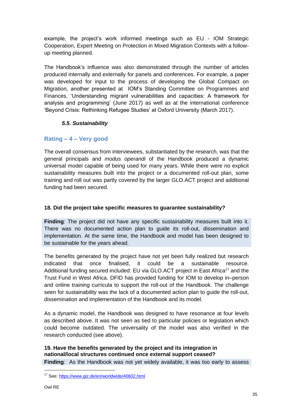example, the project's work informed meetings such as EU - IOM Strategic Cooperation, Expert Meeting on Protection in Mixed Migration Contexts with a followup meeting planned.

The Handbook's influence was also demonstrated through the number of articles produced internally and externally for panels and conferences. For example, a paper was developed for input to the process of developing the Global Compact on Migration, another presented at IOM's Standing Committee on Programmes and Finances, 'Understanding migrant vulnerabilities and capacities: A framework for analysis and programming' (June 2017) as well as at the international conference 'Beyond Crisis: Rethinking Refugee Studies' at Oxford University (March 2017).

### <span id="page-34-0"></span>*5.5. Sustainability*

### **Rating – 4 – Very good**

The overall consensus from interviewees, substantiated by the research, was that the general principals and *modus operandi* of the Handbook produced a dynamic universal model capable of being used for many years. While there were no explicit sustainability measures built into the project or a documented roll-out plan, some training and roll out was partly covered by the larger GLO.ACT project and additional funding had been secured.

### **18. Did the project take specific measures to guarantee sustainability?**

**Finding**: The project did not have any specific sustainability measures built into it. There was no documented action plan to guide its roll-out, dissemination and implementation. At the same time, the Handbook and model has been designed to be sustainable for the years ahead.

The benefits generated by the project have not yet been fully realized but research indicated that once finalised, it could be a sustainable resource. Additional funding secured included: EU via GLO.ACT project in East Africa<sup>17</sup> and the Trust Fund in West Africa. DFID has provided funding for IOM to develop in–person and online training curricula to support the roll-out of the Handbook. The challenge seen for sustainability was the lack of a documented action plan to guide the roll-out, dissemination and implementation of the Handbook and its model.

As a dynamic model, the Handbook was designed to have resonance at four levels as described above. It was not seen as tied to particular policies or legislation which could become outdated. The universality of the model was also verified in the research conducted (see above).

**19. Have the benefits generated by the project and its integration in national/local structures continued once external support ceased? Finding**: As the Handbook was not yet widely available, it was too early to assess

<sup>17</sup> See:<https://www.giz.de/en/worldwide/40602.html>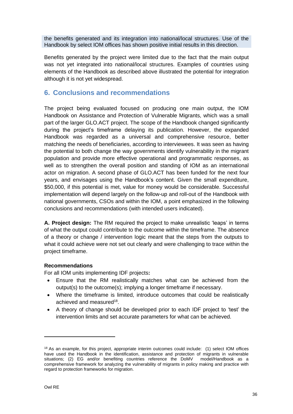the benefits generated and its integration into national/local structures. Use of the Handbook by select IOM offices has shown positive initial results in this direction.

Benefits generated by the project were limited due to the fact that the main output was not yet integrated into national/local structures. Examples of countries using elements of the Handbook as described above illustrated the potential for integration although it is not yet widespread.

# <span id="page-35-0"></span>**6. Conclusions and recommendations**

The project being evaluated focused on producing one main output, the IOM Handbook on Assistance and Protection of Vulnerable Migrants, which was a small part of the larger GLO.ACT project. The scope of the Handbook changed significantly during the project's timeframe delaying its publication. However, the expanded Handbook was regarded as a universal and comprehensive resource, better matching the needs of beneficiaries, according to interviewees. It was seen as having the potential to both change the way governments identify vulnerability in the migrant population and provide more effective operational and programmatic responses, as well as to strengthen the overall position and standing of IOM as an international actor on migration. A second phase of GLO.ACT has been funded for the next four years, and envisages using the Handbook's content. Given the small expenditure, \$50,000, if this potential is met, value for money would be considerable. Successful implementation will depend largely on the follow-up and roll-out of the Handbook with national governments, CSOs and within the IOM, a point emphasized in the following conclusions and recommendations (with intended users indicated).

**A. Project design:** The RM required the project to make unrealistic 'leaps' in terms of what the output could contribute to the outcome within the timeframe. The absence of a theory or change / intervention logic meant that the steps from the outputs to what it could achieve were not set out clearly and were challenging to trace within the project timeframe.

#### **Recommendations**

For all IOM units implementing IDF projects**:** 

- Ensure that the RM realistically matches what can be achieved from the output(s) to the outcome(s); implying a longer timeframe if necessary.
- Where the timeframe is limited, introduce outcomes that could be realistically achieved and measured<sup>18</sup>.
- A theory of change should be developed prior to each IDF project to 'test' the intervention limits and set accurate parameters for what can be achieved.

<sup>18</sup> As an example, for this project, appropriate interim outcomes could include: (1) select IOM offices have used the Handbook in the identification, assistance and protection of migrants in vulnerable situations; (2) EG and/or benefiting countries reference the DoMV model/Handbook as a comprehensive framework for analyzing the vulnerability of migrants in policy making and practice with regard to protection frameworks for migration.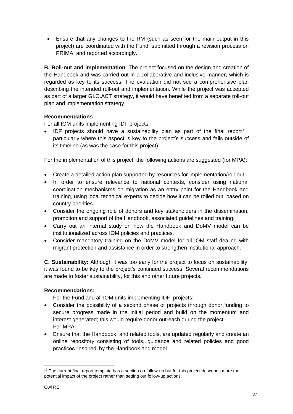• Ensure that any changes to the RM (such as seen for the main output in this project) are coordinated with the Fund, submitted through a revision process on PRIMA, and reported accordingly.

**B. Roll-out and implementation**: The project focused on the design and creation of the Handbook and was carried out in a collaborative and inclusive manner, which is regarded as key to its success. The evaluation did not see a comprehensive plan describing the intended roll-out and implementation. While the project was accepted as part of a larger GLO.ACT strategy, it would have benefited from a separate roll-out plan and implementation strategy.

### **Recommendations**

For all IOM units implementing IDF projects:

 $\bullet$  IDF projects should have a sustainability plan as part of the final report<sup>19</sup>, particularly where this aspect is key to the project's success and falls outside of its timeline (as was the case for this project).

For the implementation of this project, the following actions are suggested (for MPA):

- Create a detailed action plan supported by resources for implementation/roll-out.
- In order to ensure relevance to national contexts, consider using national coordination mechanisms on migration as an entry point for the Handbook and training, using local technical experts to decide how it can be rolled out, based on country priorities.
- Consider the ongoing role of donors and key stakeholders in the dissemination, promotion and support of the Handbook, associated guidelines and training.
- Carry out an internal study on how the Handbook and DoMV model can be institutionalized across IOM policies and practices.
- Consider mandatory training on the DoMV model for all IOM staff dealing with migrant protection and assistance in order to strengthen institutional approach.

**C. Sustainability:** Although it was too early for the project to focus on sustainability, it was found to be key to the project's continued success. Several recommendations are made to foster sustainability, for this and other future projects.

### **Recommendations:**

For the Fund and all IOM units implementing IDF projects:

- Consider the possibility of a second phase of projects through donor funding to secure progress made in the initial period and build on the momentum and interest generated; this would require donor outreach during the project. For MPA:
- Ensure that the Handbook, and related tools, are updated regularly and create an online repository consisting of tools, guidance and related policies and good practices 'inspired' by the Handbook and model.

 $19$  The current final report template has a section on follow-up but for this project describes more the potential impact of the project rather than setting out follow-up actions.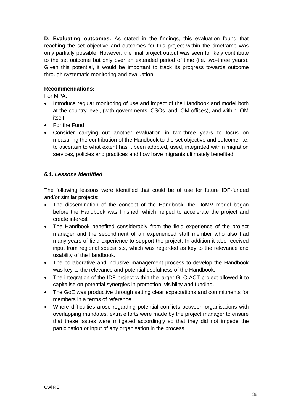**D. Evaluating outcomes:** As stated in the findings, this evaluation found that reaching the set objective and outcomes for this project within the timeframe was only partially possible. However, the final project output was seen to likely contribute to the set outcome but only over an extended period of time (i.e. two-three years). Given this potential, it would be important to track its progress towards outcome through systematic monitoring and evaluation.

### **Recommendations:**

For MPA:

- Introduce regular monitoring of use and impact of the Handbook and model both at the country level, (with governments, CSOs, and IOM offices), and within IOM itself.
- For the Fund:
- Consider carrying out another evaluation in two-three years to focus on measuring the contribution of the Handbook to the set objective and outcome, i.e. to ascertain to what extent has it been adopted, used, integrated within migration services, policies and practices and how have migrants ultimately benefited.

### <span id="page-37-0"></span>*6.1. Lessons Identified*

The following lessons were identified that could be of use for future IDF-funded and/or similar projects:

- The dissemination of the concept of the Handbook, the DoMV model began before the Handbook was finished, which helped to accelerate the project and create interest.
- The Handbook benefited considerably from the field experience of the project manager and the secondment of an experienced staff member who also had many years of field experience to support the project. In addition it also received input from regional specialists, which was regarded as key to the relevance and usability of the Handbook.
- The collaborative and inclusive management process to develop the Handbook was key to the relevance and potential usefulness of the Handbook.
- The integration of the IDF project within the larger GLO.ACT project allowed it to capitalise on potential synergies in promotion, visibility and funding.
- The GoE was productive through setting clear expectations and commitments for members in a terms of reference.
- Where difficulties arose regarding potential conflicts between organisations with overlapping mandates, extra efforts were made by the project manager to ensure that these issues were mitigated accordingly so that they did not impede the participation or input of any organisation in the process.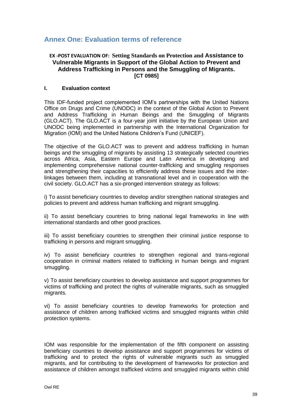# <span id="page-38-0"></span>**Annex One: Evaluation terms of reference**

### **EX -POST EVALUATION OF: Setting Standards on Protection and Assistance to Vulnerable Migrants in Support of the Global Action to Prevent and Address Trafficking in Persons and the Smuggling of Migrants. [CT 0985]**

#### **I. Evaluation context**

This IDF-funded project complemented IOM's partnerships with the United Nations Office on Drugs and Crime (UNODC) in the context of the Global Action to Prevent and Address Trafficking in Human Beings and the Smuggling of Migrants (GLO.ACT). The GLO.ACT is a four-year joint initiative by the European Union and UNODC being implemented in partnership with the International Organization for Migration (IOM) and the United Nations Children's Fund (UNICEF).

The objective of the GLO.ACT was to prevent and address trafficking in human beings and the smuggling of migrants by assisting 13 strategically selected countries across Africa, Asia, Eastern Europe and Latin America in developing and implementing comprehensive national counter-trafficking and smuggling responses and strengthening their capacities to efficiently address these issues and the interlinkages between them, including at transnational level and in cooperation with the civil society. GLO.ACT has a six-pronged intervention strategy as follows:

i) To assist beneficiary countries to develop and/or strengthen national strategies and policies to prevent and address human trafficking and migrant smuggling.

ii) To assist beneficiary countries to bring national legal frameworks in line with international standards and other good practices.

iii) To assist beneficiary countries to strengthen their criminal justice response to trafficking in persons and migrant smuggling.

iv) To assist beneficiary countries to strengthen regional and trans-regional cooperation in criminal matters related to trafficking in human beings and migrant smuggling.

v) To assist beneficiary countries to develop assistance and support programmes for victims of trafficking and protect the rights of vulnerable migrants, such as smuggled migrants.

vi) To assist beneficiary countries to develop frameworks for protection and assistance of children among trafficked victims and smuggled migrants within child protection systems.

IOM was responsible for the implementation of the fifth component on assisting beneficiary countries to develop assistance and support programmes for victims of trafficking and to protect the rights of vulnerable migrants such as smuggled migrants, and for contributing to the development of frameworks for protection and assistance of children amongst trafficked victims and smuggled migrants within child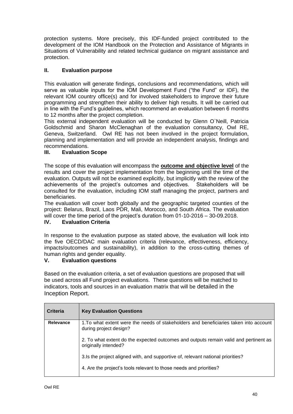protection systems. More precisely, this IDF-funded project contributed to the development of the IOM Handbook on the Protection and Assistance of Migrants in Situations of Vulnerability and related technical guidance on migrant assistance and protection.

### **II. Evaluation purpose**

This evaluation will generate findings, conclusions and recommendations, which will serve as valuable inputs for the IOM Development Fund ("the Fund" or IDF), the relevant IOM country office(s) and for involved stakeholders to improve their future programming and strengthen their ability to deliver high results. It will be carried out in line with the Fund's guidelines, which recommend an evaluation between 6 months to 12 months after the project completion.

This external independent evaluation will be conducted by Glenn O`Neill, Patricia Goldschmid and Sharon McClenaghan of the evaluation consultancy, Owl RE, Geneva, Switzerland. Owl RE has not been involved in the project formulation, planning and implementation and will provide an independent analysis, findings and recommendations.

### **III. Evaluation Scope**

The scope of this evaluation will encompass the **outcome and objective level** of the results and cover the project implementation from the beginning until the time of the evaluation. Outputs will not be examined explicitly, but implicitly with the review of the achievements of the project's outcomes and objectives. Stakeholders will be consulted for the evaluation, including IOM staff managing the project, partners and beneficiaries.

The evaluation will cover both globally and the geographic targeted counties of the project: Belarus, Brazil, Laos PDR, Mali, Morocco, and South Africa. The evaluation will cover the time period of the project's duration from 01-10-2016 – 30-09.2018.

#### **IV. Evaluation Criteria**

In response to the evaluation purpose as stated above, the evaluation will look into the five OECD/DAC main evaluation criteria (relevance, effectiveness, efficiency, impacts/outcomes and sustainability), in addition to the cross-cutting themes of human rights and gender equality.

#### **V. Evaluation questions**

Based on the evaluation criteria, a set of evaluation questions are proposed that will be used across all Fund project evaluations. These questions will be matched to indicators, tools and sources in an evaluation matrix that will be detailed in the Inception Report.

| <b>Criteria</b> | <b>Key Evaluation Questions</b>                                                                                 |
|-----------------|-----------------------------------------------------------------------------------------------------------------|
| Relevance       | 1. To what extent were the needs of stakeholders and beneficiaries taken into account<br>during project design? |
|                 | 2. To what extent do the expected outcomes and outputs remain valid and pertinent as<br>originally intended?    |
|                 | 3.Is the project aligned with, and supportive of, relevant national priorities?                                 |
|                 | 4. Are the project's tools relevant to those needs and priorities?                                              |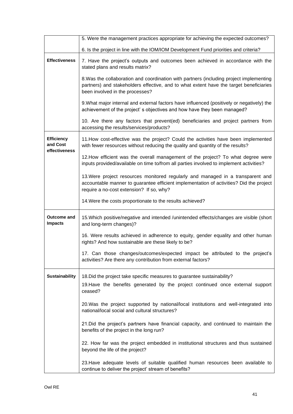|                                                | 5. Were the management practices appropriate for achieving the expected outcomes?                                                                                                                                      |  |  |
|------------------------------------------------|------------------------------------------------------------------------------------------------------------------------------------------------------------------------------------------------------------------------|--|--|
|                                                | 6. Is the project in line with the IOM/IOM Development Fund priorities and criteria?                                                                                                                                   |  |  |
| <b>Effectiveness</b>                           | 7. Have the project's outputs and outcomes been achieved in accordance with the<br>stated plans and results matrix?                                                                                                    |  |  |
|                                                | 8. Was the collaboration and coordination with partners (including project implementing<br>partners) and stakeholders effective, and to what extent have the target beneficiaries<br>been involved in the processes?   |  |  |
|                                                | 9. What major internal and external factors have influenced (positively or negatively) the<br>achievement of the project's objectives and how have they been managed?                                                  |  |  |
|                                                | 10. Are there any factors that prevent(ed) beneficiaries and project partners from<br>accessing the results/services/products?                                                                                         |  |  |
| <b>Efficiency</b><br>and Cost<br>effectiveness | 11. How cost-effective was the project? Could the activities have been implemented<br>with fewer resources without reducing the quality and quantity of the results?                                                   |  |  |
|                                                | 12. How efficient was the overall management of the project? To what degree were<br>inputs provided/available on time to/from all parties involved to implement activities?                                            |  |  |
|                                                | 13. Were project resources monitored regularly and managed in a transparent and<br>accountable manner to guarantee efficient implementation of activities? Did the project<br>require a no-cost extension? If so, why? |  |  |
|                                                | 14. Were the costs proportionate to the results achieved?                                                                                                                                                              |  |  |
| Outcome and<br><b>Impacts</b>                  | 15. Which positive/negative and intended /unintended effects/changes are visible (short<br>and long-term changes)?                                                                                                     |  |  |
|                                                | 16. Were results achieved in adherence to equity, gender equality and other human<br>rights? And how sustainable are these likely to be?                                                                               |  |  |
|                                                | 17. Can those changes/outcomes/expected impact be attributed to the project's<br>activities? Are there any contribution from external factors?                                                                         |  |  |
| <b>Sustainability</b>                          | 18. Did the project take specific measures to guarantee sustainability?<br>19. Have the benefits generated by the project continued once external support<br>ceased?                                                   |  |  |
|                                                | 20. Was the project supported by national/local institutions and well-integrated into<br>national/local social and cultural structures?                                                                                |  |  |
|                                                | 21. Did the project's partners have financial capacity, and continued to maintain the<br>benefits of the project in the long run?                                                                                      |  |  |
|                                                | 22. How far was the project embedded in institutional structures and thus sustained<br>beyond the life of the project?                                                                                                 |  |  |
|                                                | 23. Have adequate levels of suitable qualified human resources been available to<br>continue to deliver the project' stream of benefits?                                                                               |  |  |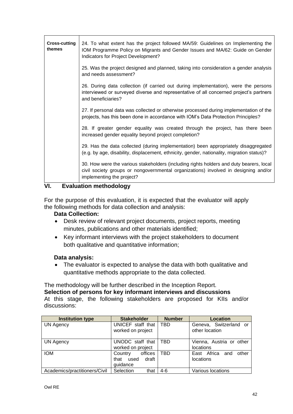| <b>Cross-cutting</b><br>themes | 24. To what extent has the project followed MA/59: Guidelines on Implementing the<br>IOM Programme Policy on Migrants and Gender Issues and MA/62: Guide on Gender<br>Indicators for Project Development?   |  |  |
|--------------------------------|-------------------------------------------------------------------------------------------------------------------------------------------------------------------------------------------------------------|--|--|
|                                | 25. Was the project designed and planned, taking into consideration a gender analysis<br>and needs assessment?                                                                                              |  |  |
|                                | 26. During data collection (if carried out during implementation), were the persons<br>interviewed or surveyed diverse and representative of all concerned project's partners<br>and beneficiaries?         |  |  |
|                                | 27. If personal data was collected or otherwise processed during implementation of the<br>projects, has this been done in accordance with IOM's Data Protection Principles?                                 |  |  |
|                                | 28. If greater gender equality was created through the project, has there been<br>increased gender equality beyond project completion?                                                                      |  |  |
|                                | 29. Has the data collected (during implementation) been appropriately disaggregated<br>(e.g. by age, disability, displacement, ethnicity, gender, nationality, migration status)?                           |  |  |
|                                | 30. How were the various stakeholders (including rights holders and duty bearers, local<br>civil society groups or nongovernmental organizations) involved in designing and/or<br>implementing the project? |  |  |

### **VI. Evaluation methodology**

For the purpose of this evaluation, it is expected that the evaluator will apply the following methods for data collection and analysis:

### **Data Collection:**

- Desk review of relevant project documents, project reports, meeting minutes, publications and other materials identified;
- Key informant interviews with the project stakeholders to document both qualitative and quantitative information;

### **Data analysis:**

• The evaluator is expected to analyse the data with both qualitative and quantitative methods appropriate to the data collected.

### The methodology will be further described in the Inception Report.

**Selection of persons for key informant interviews and discussions** At this stage, the following stakeholders are proposed for KIIs and/or discussions:

| <b>Institution type</b>       | <b>Stakeholder</b>    | <b>Number</b> | <b>Location</b>          |
|-------------------------------|-----------------------|---------------|--------------------------|
| <b>UN Agency</b>              | UNICEF staff that     | TBD           | Geneva, Switzerland or   |
|                               | worked on project     |               | other location           |
|                               |                       |               |                          |
| <b>UN Agency</b>              | UNODC staff that      | TBD           | Vienna, Austria or other |
|                               | worked on project     |               | locations                |
| <b>IOM</b>                    | offices<br>Country    | TBD           | East Africa and<br>other |
|                               | draft<br>that<br>used |               | locations                |
|                               | guidance              |               |                          |
| Academics/practitioners/Civil | Selection<br>that     | $4-6$         | Various locations        |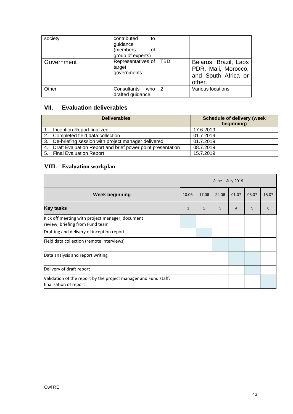| society    | contributed<br>to<br>guidance<br>(members<br>οf<br>group of experts) |     |                                                                               |
|------------|----------------------------------------------------------------------|-----|-------------------------------------------------------------------------------|
| Government | Representatives of<br>target<br>governments                          | TBD | Belarus, Brazil, Laos<br>PDR, Mali, Morocco,<br>and South Africa or<br>other. |
| Other      | Consultants who<br>drafted guidance                                  | 2   | Various locations                                                             |

# **VII. Evaluation deliverables**

| <b>Deliverables</b>                                           | <b>Schedule of delivery (week</b><br>beginning) |
|---------------------------------------------------------------|-------------------------------------------------|
| Inception Report finalized                                    | 17.6.2019                                       |
| 2. Completed field data collection                            | 01.7.2019                                       |
| 3. De-briefing session with project manager delivered         | 01.7.2019                                       |
| 4. Draft Evaluation Report and brief power point presentation | 08.7.2019                                       |
| 5. Final Evaluation Report                                    | 15.7.2019                                       |

# **VIII. Evaluation workplan**

|                                                                                           | June $-$ July 2019 |                |       |                |       |       |
|-------------------------------------------------------------------------------------------|--------------------|----------------|-------|----------------|-------|-------|
| <b>Week beginning</b>                                                                     | 10.06.             | 17.06          | 24.06 | 01.07          | 08.07 | 15.07 |
| <b>Key tasks</b>                                                                          | 1                  | $\overline{2}$ | 3     | $\overline{4}$ | 5     | 6     |
| Kick off meeting with project manager; document<br>review; briefing from Fund team        |                    |                |       |                |       |       |
| Drafting and delivery of inception report                                                 |                    |                |       |                |       |       |
| Field data collection (remote interviews)                                                 |                    |                |       |                |       |       |
| Data analysis and report writing                                                          |                    |                |       |                |       |       |
| Delivery of draft report                                                                  |                    |                |       |                |       |       |
| Validation of the report by the project manager and Fund staff;<br>finalisation of report |                    |                |       |                |       |       |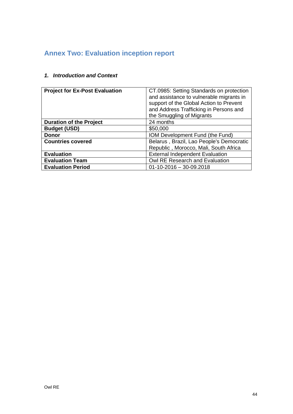# <span id="page-43-0"></span>**Annex Two: Evaluation inception report**

| <b>Project for Ex-Post Evaluation</b>                                | CT.0985: Setting Standards on protection<br>and assistance to vulnerable migrants in<br>support of the Global Action to Prevent<br>and Address Trafficking in Persons and<br>the Smuggling of Migrants |
|----------------------------------------------------------------------|--------------------------------------------------------------------------------------------------------------------------------------------------------------------------------------------------------|
| <b>Duration of the Project</b>                                       | 24 months                                                                                                                                                                                              |
| <b>Budget (USD)</b>                                                  | \$50,000                                                                                                                                                                                               |
| <b>Donor</b>                                                         | IOM Development Fund (the Fund)                                                                                                                                                                        |
| Belarus, Brazil, Lao People's Democratic<br><b>Countries covered</b> |                                                                                                                                                                                                        |
|                                                                      | Republic, Morocco, Mali, South Africa                                                                                                                                                                  |
| <b>Evaluation</b>                                                    | <b>External Independent Evaluation</b>                                                                                                                                                                 |
| <b>Evaluation Team</b>                                               | Owl RE Research and Evaluation                                                                                                                                                                         |
| <b>Evaluation Period</b>                                             | $01-10-2016-30-09.2018$                                                                                                                                                                                |

# *1. Introduction and Context*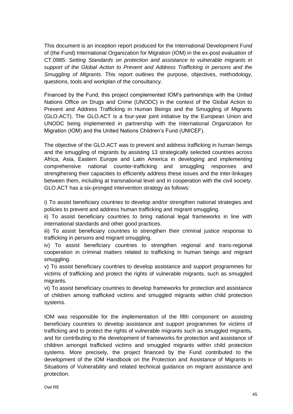This document is an inception report produced for the International Development Fund of (the Fund) International Organization for Migration (IOM) in the ex-post evaluation of CT.0985: *Setting Standards on protection and assistance to vulnerable migrants in support of the Global Action to Prevent and Address Trafficking in persons and the Smuggling of Migrants*. This report outlines the purpose, objectives, methodology, questions, tools and workplan of the consultancy.

Financed by the Fund, this project complemented IOM's partnerships with the United Nations Office on Drugs and Crime (UNODC) in the context of the Global Action to Prevent and Address Trafficking in Human Beings and the Smuggling of Migrants (GLO.ACT). The GLO.ACT is a four-year joint initiative by the European Union and UNODC being implemented in partnership with the International Organization for Migration (IOM) and the United Nations Children's Fund (UNICEF).

The objective of the GLO.ACT was to prevent and address trafficking in human beings and the smuggling of migrants by assisting 13 strategically selected countries across Africa, Asia, Eastern Europe and Latin America in developing and implementing comprehensive national counter-trafficking and smuggling responses and strengthening their capacities to efficiently address these issues and the inter-linkages between them, including at transnational level and in cooperation with the civil society. GLO.ACT has a six-pronged intervention strategy as follows:

i) To assist beneficiary countries to develop and/or strengthen national strategies and policies to prevent and address human trafficking and migrant smuggling.

ii) To assist beneficiary countries to bring national legal frameworks in line with international standards and other good practices.

iii) To assist beneficiary countries to strengthen their criminal justice response to trafficking in persons and migrant smuggling.

iv) To assist beneficiary countries to strengthen regional and trans-regional cooperation in criminal matters related to trafficking in human beings and migrant smuggling.

v) To assist beneficiary countries to develop assistance and support programmes for victims of trafficking and protect the rights of vulnerable migrants, such as smuggled migrants.

vi) To assist beneficiary countries to develop frameworks for protection and assistance of children among trafficked victims and smuggled migrants within child protection systems.

IOM was responsible for the implementation of the fifth component on assisting beneficiary countries to develop assistance and support programmes for victims of trafficking and to protect the rights of vulnerable migrants such as smuggled migrants, and for contributing to the development of frameworks for protection and assistance of children amongst trafficked victims and smuggled migrants within child protection systems. More precisely, the project financed by the Fund contributed to the development of the IOM Handbook on the Protection and Assistance of Migrants in Situations of Vulnerability and related technical guidance on migrant assistance and protection.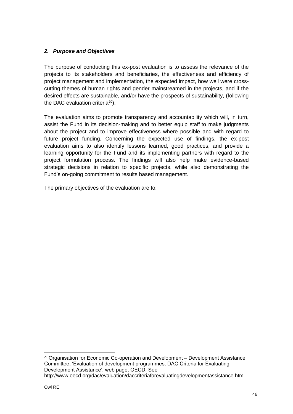### *2. Purpose and Objectives*

The purpose of conducting this ex-post evaluation is to assess the relevance of the projects to its stakeholders and beneficiaries, the effectiveness and efficiency of project management and implementation, the expected impact, how well were crosscutting themes of human rights and gender mainstreamed in the projects, and if the desired effects are sustainable, and/or have the prospects of sustainability, (following the DAC evaluation criteria<sup>20</sup>).

The evaluation aims to promote transparency and accountability which will, in turn, assist the Fund in its decision-making and to better equip staff to make judgments about the project and to improve effectiveness where possible and with regard to future project funding. Concerning the expected use of findings, the ex-post evaluation aims to also identify lessons learned, good practices, and provide a learning opportunity for the Fund and its implementing partners with regard to the project formulation process. The findings will also help make evidence-based strategic decisions in relation to specific projects, while also demonstrating the Fund's on-going commitment to results based management.

The primary objectives of the evaluation are to:

<sup>20</sup> Organisation for Economic Co-operation and Development – Development Assistance Committee, 'Evaluation of development programmes, DAC Criteria for Evaluating Development Assistance', web page, OECD. See http://www.oecd.org/dac/evaluation/daccriteriaforevaluatingdevelopmentassistance.htm.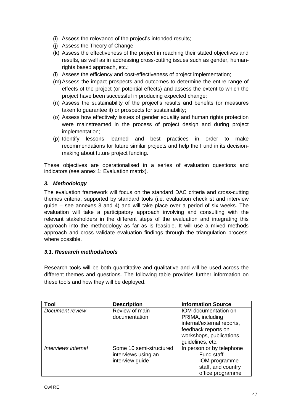- (i) Assess the relevance of the project's intended results;
- (j) Assess the Theory of Change:
- (k) Assess the effectiveness of the project in reaching their stated objectives and results, as well as in addressing cross-cutting issues such as gender, humanrights based approach, etc.;
- (l) Assess the efficiency and cost-effectiveness of project implementation;
- (m)Assess the impact prospects and outcomes to determine the entire range of effects of the project (or potential effects) and assess the extent to which the project have been successful in producing expected change;
- (n) Assess the sustainability of the project's results and benefits (or measures taken to guarantee it) or prospects for sustainability;
- (o) Assess how effectively issues of gender equality and human rights protection were mainstreamed in the process of project design and during project implementation;
- (p) Identify lessons learned and best practices in order to make recommendations for future similar projects and help the Fund in its decisionmaking about future project funding.

These objectives are operationalised in a series of evaluation questions and indicators (see annex 1: Evaluation matrix).

### *3. Methodology*

The evaluation framework will focus on the standard DAC criteria and cross-cutting themes criteria, supported by standard tools (i.e. evaluation checklist and interview guide – see annexes 3 and 4) and will take place over a period of six weeks. The evaluation will take a participatory approach involving and consulting with the relevant stakeholders in the different steps of the evaluation and integrating this approach into the methodology as far as is feasible. It will use a mixed methods approach and cross validate evaluation findings through the triangulation process, where possible.

### *3.1. Research methods/tools*

Research tools will be both quantitative and qualitative and will be used across the different themes and questions. The following table provides further information on these tools and how they will be deployed.

| Tool                | <b>Description</b>                                                | <b>Information Source</b>                                                                                                                     |
|---------------------|-------------------------------------------------------------------|-----------------------------------------------------------------------------------------------------------------------------------------------|
| Document review     | Review of main<br>documentation                                   | IOM documentation on<br>PRIMA, including<br>internal/external reports,<br>feedback reports on<br>workshops, publications,<br>guidelines, etc. |
| Interviews internal | Some 10 semi-structured<br>interviews using an<br>interview guide | In person or by telephone<br>Fund staff<br>IOM programme<br>staff, and country<br>office programme                                            |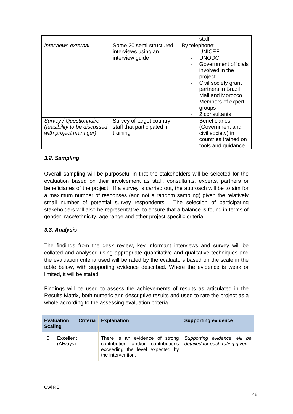|                                                                                 |                                                                    | staff                                                                                                                                                                                                                 |
|---------------------------------------------------------------------------------|--------------------------------------------------------------------|-----------------------------------------------------------------------------------------------------------------------------------------------------------------------------------------------------------------------|
| Interviews external                                                             | Some 20 semi-structured<br>interviews using an<br>interview guide  | By telephone:<br><b>UNICEF</b><br><b>UNODC</b><br>Government officials<br>involved in the<br>project<br>Civil society grant<br>partners in Brazil<br>Mali and Morocco<br>Members of expert<br>groups<br>2 consultants |
| Survey / Questionnaire<br>(feasibility to be discussed<br>with project manager) | Survey of target country<br>staff that participated in<br>training | <b>Beneficiaries</b><br>(Government and<br>civil society) in<br>countries trained on<br>tools and guidance                                                                                                            |

### *3.2. Sampling*

Overall sampling will be purposeful in that the stakeholders will be selected for the evaluation based on their involvement as staff, consultants, experts, partners or beneficiaries of the project. If a survey is carried out, the approach will be to aim for a maximum number of responses (and not a random sampling) given the relatively small number of potential survey respondents. The selection of participating stakeholders will also be representative, to ensure that a balance is found in terms of gender, race/ethnicity, age range and other project-specific criteria.

### *3.3. Analysis*

The findings from the desk review, key informant interviews and survey will be collated and analysed using appropriate quantitative and qualitative techniques and the evaluation criteria used will be rated by the evaluators based on the scale in the table below, with supporting evidence described. Where the evidence is weak or limited, it will be stated.

Findings will be used to assess the achievements of results as articulated in the Results Matrix, both numeric and descriptive results and used to rate the project as a whole according to the assessing evaluation criteria.

| <b>Scaling</b> | <b>Criteria</b><br><b>Evaluation</b> | <b>Explanation</b>                                                                                                          | <b>Supporting evidence</b>                                     |
|----------------|--------------------------------------|-----------------------------------------------------------------------------------------------------------------------------|----------------------------------------------------------------|
| 5              | Excellent<br>(Always)                | There is an evidence of strong<br>contribution and/or contributions<br>exceeding the level expected by<br>the intervention. | Supporting evidence will be<br>detailed for each rating given. |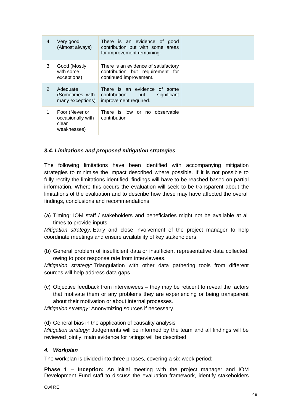| 4 | Very good<br>(Almost always)                                | There is an evidence of good<br>contribution but with some areas<br>for improvement remaining.     |  |
|---|-------------------------------------------------------------|----------------------------------------------------------------------------------------------------|--|
| 3 | Good (Mostly,<br>with some<br>exceptions)                   | There is an evidence of satisfactory<br>contribution but requirement for<br>continued improvement. |  |
| 2 | Adequate<br>(Sometimes, with<br>many exceptions)            | There is an evidence of some<br>contribution<br>significant<br>but<br>improvement required.        |  |
|   | Poor (Never or<br>occasionally with<br>clear<br>weaknesses) | There is low or no observable<br>contribution.                                                     |  |

### *3.4. Limitations and proposed mitigation strategies*

The following limitations have been identified with accompanying mitigation strategies to minimise the impact described where possible. If it is not possible to fully rectify the limitations identified, findings will have to be reached based on partial information. Where this occurs the evaluation will seek to be transparent about the limitations of the evaluation and to describe how these may have affected the overall findings, conclusions and recommendations.

(a) Timing: IOM staff / stakeholders and beneficiaries might not be available at all times to provide inputs

*Mitigation strategy:* Early and close involvement of the project manager to help coordinate meetings and ensure availability of key stakeholders.

(b) General problem of insufficient data or insufficient representative data collected, owing to poor response rate from interviewees.

*Mitigation strategy:* Triangulation with other data gathering tools from different sources will help address data gaps.

(c) Objective feedback from interviewees – they may be reticent to reveal the factors that motivate them or any problems they are experiencing or being transparent about their motivation or about internal processes.

*Mitigation strategy:* Anonymizing sources if necessary.

(d) General bias in the application of causality analysis

*Mitigation strategy:* Judgements will be informed by the team and all findings will be reviewed jointly; main evidence for ratings will be described.

#### *4. Workplan*

The workplan is divided into three phases, covering a six-week period:

**Phase 1 – Inception:** An initial meeting with the project manager and IOM Development Fund staff to discuss the evaluation framework, identify stakeholders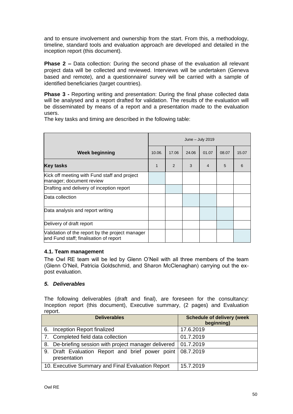and to ensure involvement and ownership from the start. From this, a methodology, timeline, standard tools and evaluation approach are developed and detailed in the inception report (this document).

**Phase 2 –** Data collection: During the second phase of the evaluation all relevant project data will be collected and reviewed. Interviews will be undertaken (Geneva based and remote), and a questionnaire/ survey will be carried with a sample of identified beneficiaries (target countries).

**Phase 3 -** Reporting writing and presentation: During the final phase collected data will be analysed and a report drafted for validation. The results of the evaluation will be disseminated by means of a report and a presentation made to the evaluation users.

The key tasks and timing are described in the following table:

|                                                                                           | June $-$ July 2019 |       |       |       |       |       |
|-------------------------------------------------------------------------------------------|--------------------|-------|-------|-------|-------|-------|
| <b>Week beginning</b>                                                                     | 10.06.             | 17.06 | 24.06 | 01.07 | 08.07 | 15.07 |
| <b>Key tasks</b>                                                                          | 1                  | 2     | 3     | 4     | 5     | 6     |
| Kick off meeting with Fund staff and project<br>manager; document review                  |                    |       |       |       |       |       |
| Drafting and delivery of inception report                                                 |                    |       |       |       |       |       |
| Data collection                                                                           |                    |       |       |       |       |       |
| Data analysis and report writing                                                          |                    |       |       |       |       |       |
| Delivery of draft report                                                                  |                    |       |       |       |       |       |
| Validation of the report by the project manager<br>and Fund staff; finalisation of report |                    |       |       |       |       |       |

#### **4.1. Team management**

The Owl RE team will be led by Glenn O'Neil with all three members of the team (Glenn O'Neil, Patricia Goldschmid, and Sharon McClenaghan) carrying out the expost evaluation.

#### *5. Deliverables*

The following deliverables (draft and final), are foreseen for the consultancy: Inception report (this document), Executive summary, (2 pages) and Evaluation report.

|                                                   | <b>Deliverables</b>                                                        | <b>Schedule of delivery (week</b><br>beginning) |
|---------------------------------------------------|----------------------------------------------------------------------------|-------------------------------------------------|
|                                                   | 6. Inception Report finalized                                              | 17.6.2019                                       |
|                                                   | 7. Completed field data collection                                         | 01.7.2019                                       |
|                                                   | 8. De-briefing session with project manager delivered                      | 01.7.2019                                       |
|                                                   | 9. Draft Evaluation Report and brief power point 08.7.2019<br>presentation |                                                 |
| 10. Executive Summary and Final Evaluation Report |                                                                            | 15.7.2019                                       |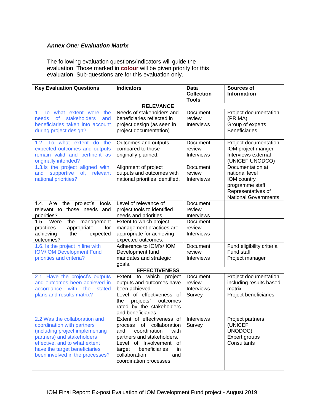#### *Annex One: Evaluation Matrix*

The following evaluation questions/indicators will guide the evaluation. Those marked in **colour** will be given priority for this evaluation. Sub-questions are for this evaluation only.

| <b>Key Evaluation Questions</b>                                                                                                                                                                                                   | <b>Indicators</b>                                                                                                                                                                                                                              | <b>Data</b><br><b>Collection</b><br><b>Tools</b> | <b>Sources of</b><br><b>Information</b>                                                                                   |
|-----------------------------------------------------------------------------------------------------------------------------------------------------------------------------------------------------------------------------------|------------------------------------------------------------------------------------------------------------------------------------------------------------------------------------------------------------------------------------------------|--------------------------------------------------|---------------------------------------------------------------------------------------------------------------------------|
|                                                                                                                                                                                                                                   | <b>RELEVANCE</b>                                                                                                                                                                                                                               |                                                  |                                                                                                                           |
| 1. To what extent were the<br>of<br>stakeholders<br>needs<br>and<br>beneficiaries taken into account<br>during project design?                                                                                                    | Needs of stakeholders and<br>beneficiaries reflected in<br>project design (as seen in<br>project documentation).                                                                                                                               | Document<br>review<br><b>Interviews</b>          | Project documentation<br>(PRIMA)<br>Group of experts<br><b>Beneficiaries</b>                                              |
| 1.2. To what extent do the<br>expected outcomes and outputs<br>remain valid and pertinent as<br>originally intended?                                                                                                              | Outcomes and outputs<br>compared to those<br>originally planned.                                                                                                                                                                               | <b>Document</b><br>review<br><b>Interviews</b>   | Project documentation<br>IOM project manger<br>Interviews external<br>(UNICEF UNODCO)                                     |
| 1.3.ls the project aligned with,<br>supportive<br>of, relevant<br>and<br>national priorities?                                                                                                                                     | Alignment of project<br>outputs and outcomes with<br>national priorities identified.                                                                                                                                                           | Document<br>review<br><b>Interviews</b>          | Documentation at<br>national level<br>IOM country<br>programme staff<br>Representatives of<br><b>National Governments</b> |
| Are<br>the<br>project's tools<br>1.4.<br>relevant to those needs and<br>priorities?                                                                                                                                               | Level of relevance of<br>project tools to identified<br>needs and priorities.                                                                                                                                                                  | Document<br>review<br>Interviews                 |                                                                                                                           |
| 1.5.<br>Were<br>the<br>management<br>practices<br>appropriate<br>for<br>achieving<br>the<br>expected<br>outcomes?                                                                                                                 | Extent to which project<br>management practices are<br>appropriate for achieving<br>expected outcomes.                                                                                                                                         | Document<br>review<br>Interviews                 |                                                                                                                           |
| 1.6. Is the project in line with<br><b>IOM/IOM Development Fund</b><br>priorities and criteria?                                                                                                                                   | Adherence to IOM's/ IOM<br>Development fund<br>mandates and strategic<br>goals.                                                                                                                                                                | Document<br>review<br><b>Interviews</b>          | Fund eligibility criteria<br>Fund staff<br>Project manager                                                                |
|                                                                                                                                                                                                                                   | <b>EFFECTIVENESS</b>                                                                                                                                                                                                                           |                                                  |                                                                                                                           |
| 2.1. Have the project's outputs<br>and outcomes been achieved in<br>accordance with the<br>stated<br>plans and results matrix?                                                                                                    | Extent to which project<br>outputs and outcomes have<br>been achieved.<br>Level of effectiveness of<br>projects<br>the<br>outcomes<br>rated by the stakeholders<br>and beneficiaries.                                                          | Document<br>review<br>Interviews<br>Survey       | Project documentation<br>including results based<br>matrix<br>Project beneficiaries                                       |
| 2.2 Was the collaboration and<br>coordination with partners<br>(including project implementing<br>partners) and stakeholders<br>effective, and to what extent<br>have the target beneficiaries<br>been involved in the processes? | Extent of effectiveness of Interviews<br>process of collaboration<br>and<br>coordination<br>with<br>partners and stakeholders.<br>Level of Involvement of<br>target<br>beneficiaries<br>in.<br>collaboration<br>and<br>coordination processes. | Survey                                           | Project partners<br>(UNICEF<br>UNODOC)<br>Expert groups<br>Consultants                                                    |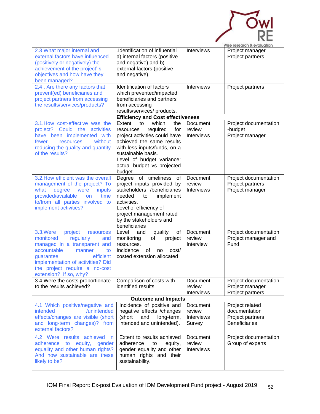|                                                                                                                                                                                                                                                             |                                                                                                                                                                                                                                                        |                                            | Wise research & evaluation                                                   |
|-------------------------------------------------------------------------------------------------------------------------------------------------------------------------------------------------------------------------------------------------------------|--------------------------------------------------------------------------------------------------------------------------------------------------------------------------------------------------------------------------------------------------------|--------------------------------------------|------------------------------------------------------------------------------|
| 2.3 What major internal and<br>external factors have influenced<br>(positively or negatively) the<br>achievement of the project's<br>objectives and how have they<br>been managed?                                                                          | .Identification of influential<br>a) internal factors (positive<br>and negative) and b)<br>external factors (positive<br>and negative).                                                                                                                | Interviews                                 | Project manager<br>Project partners                                          |
| 2,4. Are there any factors that<br>prevent(ed) beneficiaries and<br>project partners from accessing<br>the results/services/products?                                                                                                                       | Identification of factors<br>which prevented/impacted<br>beneficiaries and partners<br>from accessing<br>results/services/ products.                                                                                                                   | Interviews                                 | Project partners                                                             |
|                                                                                                                                                                                                                                                             | <b>Efficiency and Cost effectiveness</b>                                                                                                                                                                                                               |                                            |                                                                              |
| 3.1. How cost-effective was the<br>project? Could the<br>activities<br>have been implemented with<br>without<br>fewer<br>resources<br>reducing the quality and quantity<br>of the results?                                                                  | Extent<br>which<br>to<br>the<br>required<br>for<br>resources<br>project activities could have<br>achieved the same results<br>with less inputs/funds, on a<br>sustainable basis.<br>Level of budget variance:<br>actual budget vs projected<br>budget. | Document<br>review<br><b>Interviews</b>    | Project documentation<br>-budget<br>Project manager                          |
| 3.2. How efficient was the overall<br>management of the project? To<br>what<br>degree<br>inputs<br>were<br>provided/available<br>time<br><b>on</b><br>to/from all parties involved to<br>implement activities?                                              | Degree of timeliness<br>of<br>project inputs provided by<br>stakeholders /beneficiaries<br>needed<br>implement<br>to<br>activities.<br>Level of efficiency of<br>project management rated<br>by the stakeholders and<br>beneficiaries                  | Document<br>review<br><b>Interviews</b>    | Project documentation<br>Project partners<br>Project manager                 |
| 3.3. Were<br>project<br>resources<br>monitored<br>regularly<br>and<br>managed in a transparent and<br>accountable<br>to<br>manner<br>efficient<br>guarantee<br>implementation of activities? Did<br>the project require a no-cost<br>extension? If so, why? | quality<br>Level<br>and<br>οf<br>monitoring<br>project<br>οf<br>resources.<br>Incidence of no<br>cost/<br>costed extension allocated                                                                                                                   | Document<br>review<br>Interview            | Project documentation<br>Project manager and<br>Fund                         |
| 3.4. Were the costs proportionate<br>to the results achieved?                                                                                                                                                                                               | Comparison of costs with<br>identified results.                                                                                                                                                                                                        | Document<br>review<br>Interviews           | Project documentation<br>Project manager<br>Project partners                 |
|                                                                                                                                                                                                                                                             | <b>Outcome and Impacts</b>                                                                                                                                                                                                                             |                                            |                                                                              |
| 4.1 Which positive/negative and<br>intended<br>/unintended<br>effects/changes are visible (short<br>and long-term changes)? from<br>external factors?                                                                                                       | Incidence of positive and<br>negative effects / changes<br>long-term,<br>(short<br>and<br>intended and unintended).                                                                                                                                    | Document<br>review<br>Interviews<br>Survey | Project related<br>documentation<br>Project partners<br><b>Beneficiaries</b> |
| 4.2 Were results achieved in<br>adherence to equity,<br>gender<br>equality and other human rights?<br>And how sustainable are these<br>likely to be?                                                                                                        | Extent to results achieved<br>adherence<br>to<br>equity,<br>gender equality and other<br>human rights and their<br>sustainability.                                                                                                                     | Document<br>review<br><b>Interviews</b>    | Project documentation<br>Group of experts                                    |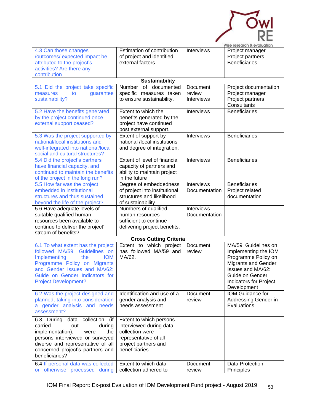| 4.3 Can those changes                                                     | Estimation of contribution                              | <b>Interviews</b>           | Wise research & evaluation<br>Project manager |
|---------------------------------------------------------------------------|---------------------------------------------------------|-----------------------------|-----------------------------------------------|
| /outcomes/ expected impact be                                             | of project and identified                               |                             | Project partners                              |
| attributed to the project's                                               | external factors.                                       |                             | <b>Beneficiaries</b>                          |
| activities? Are there any                                                 |                                                         |                             |                                               |
| contribution                                                              |                                                         |                             |                                               |
| 5.1 Did the project take specific                                         | <b>Sustainability</b><br>Number of documented           | Document                    | Project documentation                         |
| measures<br>guarantee<br>to                                               | specific measures taken                                 | review                      | Project manager                               |
| sustainability?                                                           | to ensure sustainability.                               | <b>Interviews</b>           | Project partners                              |
|                                                                           |                                                         |                             | Consultants                                   |
| 5.2. Have the benefits generated                                          | Extent to which the                                     | <b>Interviews</b>           | <b>Beneficiaries</b>                          |
| by the project continued once<br>external support ceased?                 | benefits generated by the<br>project have continued     |                             |                                               |
|                                                                           | post external support.                                  |                             |                                               |
| 5.3 Was the project supported by                                          | Extent of support by                                    | Interviews                  | <b>Beneficiaries</b>                          |
| national/local institutions and                                           | national /local institutions                            |                             |                                               |
| well-integrated into national/local<br>social and cultural structures?    | and degree of integration.                              |                             |                                               |
| 5.4 Did the project's partners                                            | Extent of level of financial                            | Interviews                  | <b>Beneficiaries</b>                          |
| have financial capacity, and                                              | capacity of partners and                                |                             |                                               |
| continued to maintain the benefits                                        | ability to maintain project                             |                             |                                               |
| of the project in the long run?                                           | in the future                                           |                             |                                               |
| 5.5 How far was the project<br>embedded in institutional                  | Degree of embeddedness<br>of project into institutional | Interviews<br>Documentation | <b>Beneficiaries</b><br>Project related       |
| structures and thus sustained                                             | structures and likelihood                               |                             | documentation                                 |
| beyond the life of the project?                                           | of sustainability.                                      |                             |                                               |
| 5.6 Have adequate levels of                                               | Numbers of qualified                                    | Interviews                  |                                               |
| suitable qualified human<br>resources been available to                   | human resources<br>sufficient to continue               | Documentation               |                                               |
| continue to deliver the project'                                          | delivering project benefits.                            |                             |                                               |
| stream of benefits?                                                       |                                                         |                             |                                               |
|                                                                           | <b>Cross Cutting Criteria</b>                           |                             |                                               |
| 6.1 To what extent has the project Extent to which project Document       | has followed MA/59 and                                  | review                      | MA/59: Guidelines on                          |
| followed MA/59: Guidelines on<br><b>IOM</b><br><b>Implementing</b><br>the | MA/62.                                                  |                             | Implementing the IOM<br>Programme Policy on   |
| Programme Policy on Migrants                                              |                                                         |                             | <b>Migrants and Gender</b>                    |
| and Gender Issues and MA/62:                                              |                                                         |                             | Issues and MA/62:                             |
| Guide on Gender Indicators for                                            |                                                         |                             | Guide on Gender                               |
| <b>Project Development?</b>                                               |                                                         |                             | <b>Indicators for Project</b><br>Development  |
| 6.2 Was the project designed and                                          | Identification and use of a                             | Document                    | IOM Guidance for                              |
| planned, taking into consideration                                        | gender analysis and                                     | review                      | Addressing Gender in                          |
| a gender analysis and needs                                               | needs assessment                                        |                             | Evaluations                                   |
| assessment?                                                               |                                                         |                             |                                               |
| 6.3 During data collection (if                                            | Extent to which persons                                 |                             |                                               |
| carried<br>out<br>during<br>implementation),<br>the<br>were               | interviewed during data<br>collection were              |                             |                                               |
| persons interviewed or surveyed                                           | representative of all                                   |                             |                                               |
| diverse and representative of all                                         | project partners and                                    |                             |                                               |
| concerned project's partners and                                          | beneficiaries                                           |                             |                                               |
| beneficiaries?                                                            |                                                         |                             |                                               |
| 6.4 If personal data was collected                                        | Extent to which data                                    | Document                    | Data Protection                               |
| or otherwise processed during                                             | collection adhered to                                   | review                      | Principles                                    |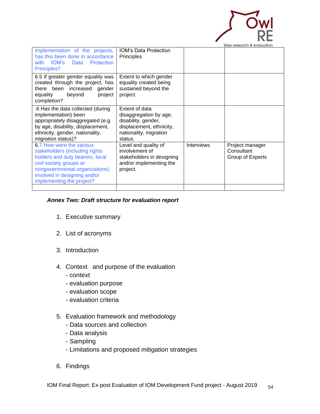

|                                                                                                                                                                                                                         |                                                                                                                                  |            | Wise research & evaluation                        |
|-------------------------------------------------------------------------------------------------------------------------------------------------------------------------------------------------------------------------|----------------------------------------------------------------------------------------------------------------------------------|------------|---------------------------------------------------|
| implementation of the projects,<br>has this been done in accordance<br>IOM's<br>Protection<br>Data<br>with<br>Principles?                                                                                               | <b>IOM's Data Protection</b><br>Principles                                                                                       |            |                                                   |
| 6.5 If greater gender equality was<br>created through the project, has<br>there been increased gender<br>equality<br>beyond<br>project<br>completion?                                                                   | Extent to which gender<br>equality created being<br>sustained beyond the<br>project.                                             |            |                                                   |
| .6 Has the data collected (during<br>implementation) been<br>appropriately disaggregated (e.g.<br>by age, disability, displacement,<br>ethnicity, gender, nationality,<br>migration status)?                            | Extent of data<br>disaggregation by age,<br>disability, gender,<br>displacement, ethnicity,<br>nationality, migration<br>status. |            |                                                   |
| 6.7 How were the various<br>stakeholders (including rights<br>holders and duty bearers, local<br>civil society groups or<br>nongovernmental organizations)<br>involved in designing and/or<br>implementing the project? | Level and quality of<br>involvement of<br>stakeholders in designing<br>and/or implementing the<br>project.                       | Interviews | Project manager<br>Consultant<br>Group of Experts |
|                                                                                                                                                                                                                         |                                                                                                                                  |            |                                                   |

### *Annex Two: Draft structure for evaluation report*

- 1. Executive summary
- 2. List of acronyms
- 3. Introduction
- 4. Context and purpose of the evaluation
	- context
	- evaluation purpose
	- evaluation scope
	- evaluation criteria
- 5. Evaluation framework and methodology
	- Data sources and collection
	- Data analysis
	- Sampling
	- Limitations and proposed mitigation strategies
- 6. Findings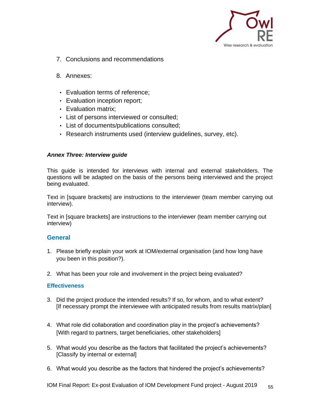

- 7. Conclusions and recommendations
- 8. Annexes:
	- Evaluation terms of reference;
	- Evaluation inception report;
- Evaluation matrix;
- List of persons interviewed or consulted;
- List of documents/publications consulted;
- Research instruments used (interview guidelines, survey, etc).

#### *Annex Three: Interview guide*

This guide is intended for interviews with internal and external stakeholders. The questions will be adapted on the basis of the persons being interviewed and the project being evaluated.

Text in [square brackets] are instructions to the interviewer (team member carrying out interview).

Text in [square brackets] are instructions to the interviewer (team member carrying out interview)

#### **General**

- 1. Please briefly explain your work at IOM/external organisation (and how long have you been in this position?).
- 2. What has been your role and involvement in the project being evaluated?

#### **Effectiveness**

- 3. Did the project produce the intended results? If so, for whom, and to what extent? [If necessary prompt the interviewee with anticipated results from results matrix/plan]
- 4. What role did collaboration and coordination play in the project's achievements? [With regard to partners, target beneficiaries, other stakeholders]
- 5. What would you describe as the factors that facilitated the project's achievements? [Classify by internal or external]
- 6. What would you describe as the factors that hindered the project's achievements?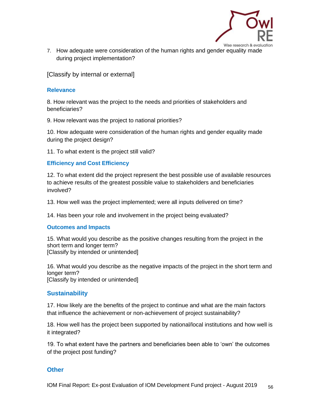

7. How adequate were consideration of the human rights and gender equality made during project implementation?

[Classify by internal or external]

#### **Relevance**

8. How relevant was the project to the needs and priorities of stakeholders and beneficiaries?

9. How relevant was the project to national priorities?

10. How adequate were consideration of the human rights and gender equality made during the project design?

11. To what extent is the project still valid?

### **Efficiency and Cost Efficiency**

12. To what extent did the project represent the best possible use of available resources to achieve results of the greatest possible value to stakeholders and beneficiaries involved?

13. How well was the project implemented; were all inputs delivered on time?

14. Has been your role and involvement in the project being evaluated?

#### **Outcomes and Impacts**

15. What would you describe as the positive changes resulting from the project in the short term and longer term? [Classify by intended or unintended]

16. What would you describe as the negative impacts of the project in the short term and longer term? [Classify by intended or unintended]

### **Sustainability**

17. How likely are the benefits of the project to continue and what are the main factors that influence the achievement or non-achievement of project sustainability?

18. How well has the project been supported by national/local institutions and how well is it integrated?

19. To what extent have the partners and beneficiaries been able to 'own' the outcomes of the project post funding?

### **Other**

IOM Final Report: Ex-post Evaluation of IOM Development Fund project - August 2019  $\frac{56}{56}$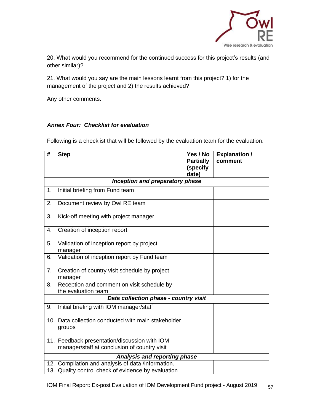

20. What would you recommend for the continued success for this project's results (and other similar)?

21. What would you say are the main lessons learnt from this project? 1) for the management of the project and 2) the results achieved?

Any other comments.

### *Annex Four: Checklist for evaluation*

Following is a checklist that will be followed by the evaluation team for the evaluation.

| #   | <b>Step</b>                                                                               | Yes / No<br><b>Partially</b><br>(specify | <b>Explanation /</b><br>comment |
|-----|-------------------------------------------------------------------------------------------|------------------------------------------|---------------------------------|
|     |                                                                                           | date)                                    |                                 |
|     | Inception and preparatory phase                                                           |                                          |                                 |
| 1.  | Initial briefing from Fund team                                                           |                                          |                                 |
| 2.  | Document review by Owl RE team                                                            |                                          |                                 |
| 3.  | Kick-off meeting with project manager                                                     |                                          |                                 |
| 4.  | Creation of inception report                                                              |                                          |                                 |
| 5.  | Validation of inception report by project<br>manager                                      |                                          |                                 |
| 6.  | Validation of inception report by Fund team                                               |                                          |                                 |
| 7.  | Creation of country visit schedule by project<br>manager                                  |                                          |                                 |
| 8.  | Reception and comment on visit schedule by<br>the evaluation team                         |                                          |                                 |
|     | Data collection phase - country visit                                                     |                                          |                                 |
| 9.  | Initial briefing with IOM manager/staff                                                   |                                          |                                 |
| 10. | Data collection conducted with main stakeholder<br>groups                                 |                                          |                                 |
| 11. | Feedback presentation/discussion with IOM<br>manager/staff at conclusion of country visit |                                          |                                 |
|     | <b>Analysis and reporting phase</b>                                                       |                                          |                                 |
|     | 12. Compilation and analysis of data /information.                                        |                                          |                                 |
| 13. | Quality control check of evidence by evaluation                                           |                                          |                                 |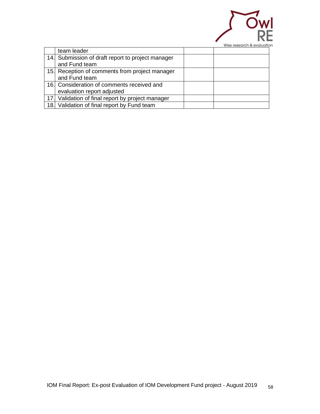

|                                                   | <u>Wise research a evaluation</u> |
|---------------------------------------------------|-----------------------------------|
| team leader                                       |                                   |
| 14. Submission of draft report to project manager |                                   |
| and Fund team                                     |                                   |
| 15. Reception of comments from project manager    |                                   |
| and Fund team                                     |                                   |
| 16. Consideration of comments received and        |                                   |
| evaluation report adjusted                        |                                   |
| 17. Validation of final report by project manager |                                   |
| 18. Validation of final report by Fund team       |                                   |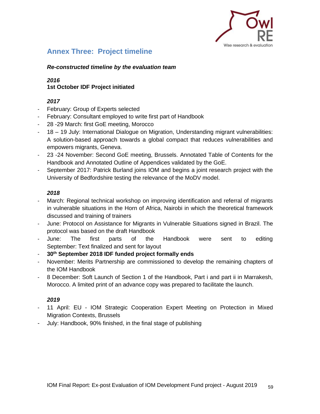

# **Annex Three: Project timeline**

#### *Re-constructed timeline by the evaluation team*

### <span id="page-58-0"></span>*2016* **1st October IDF Project initiated**

#### *2017*

- February: Group of Experts selected
- February: Consultant employed to write first part of Handbook
- 28 29 March: first GoE meeting, Morocco
- 18 19 July: International Dialogue on Migration, Understanding migrant vulnerabilities: A solution-based approach towards a global compact that reduces vulnerabilities and empowers migrants, Geneva.
- 23 -24 November: Second GoE meeting, Brussels. Annotated Table of Contents for the Handbook and Annotated Outline of Appendices validated by the GoE.
- September 2017: Patrick Burland joins IOM and begins a joint research project with the University of Bedfordshire testing the relevance of the MoDV model.

### *2018*

- March: Regional technical workshop on improving identification and referral of migrants in vulnerable situations in the Horn of Africa, Nairobi in which the theoretical framework discussed and training of trainers
- June: Protocol on Assistance for Migrants in Vulnerable Situations signed in Brazil. The protocol was based on the draft Handbook
- June: The first parts of the Handbook were sent to editing September: Text finalized and sent for layout
- **30th September 2018 IDF funded project formally ends**
- November: Merits Partnership are commissioned to develop the remaining chapters of the IOM Handbook
- 8 December: Soft Launch of Section 1 of the Handbook, Part i and part ii in Marrakesh, Morocco. A limited print of an advance copy was prepared to facilitate the launch.

#### *2019*

- 11 April: EU IOM Strategic Cooperation Expert Meeting on Protection in Mixed Migration Contexts, Brussels
- July: Handbook, 90% finished, in the final stage of publishing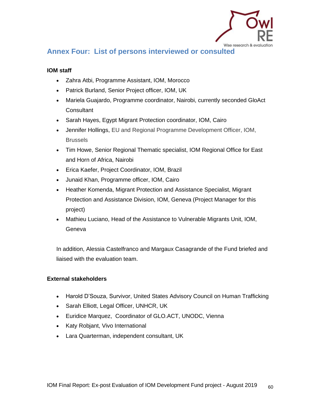

# **Annex Four: List of persons interviewed or consulted**

### <span id="page-59-0"></span>**IOM staff**

- Zahra Atbi, Programme Assistant, IOM, Morocco
- Patrick Burland, Senior Project officer, IOM, UK
- Mariela Guajardo, Programme coordinator, Nairobi, currently seconded GloAct **Consultant**
- Sarah Hayes, Egypt Migrant Protection coordinator, IOM, Cairo
- Jennifer Hollings, EU and Regional Programme Development Officer, IOM, Brussels
- Tim Howe, Senior Regional Thematic specialist, IOM Regional Office for East and Horn of Africa, Nairobi
- Erica Kaefer, Project Coordinator, IOM, Brazil
- Junaid Khan, Programme officer, IOM, Cairo
- Heather Komenda, Migrant Protection and Assistance Specialist, Migrant Protection and Assistance Division, IOM, Geneva (Project Manager for this project)
- Mathieu Luciano, Head of the Assistance to Vulnerable Migrants Unit, IOM, Geneva

In addition, Alessia Castelfranco and Margaux Casagrande of the Fund briefed and liaised with the evaluation team.

### **External stakeholders**

- Harold D'Souza, Survivor, United States Advisory Council on Human Trafficking
- Sarah Elliott, Legal Officer, UNHCR, UK
- Euridice Marquez, Coordinator of GLO.ACT, UNODC, Vienna
- Katy Robjant, Vivo International
- Lara Quarterman, independent consultant, UK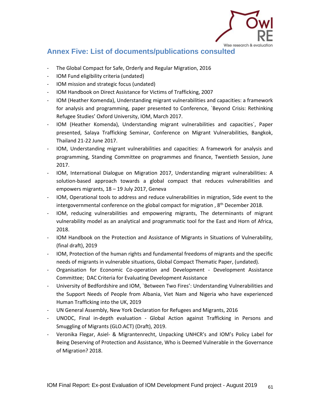

# **Annex Five: List of documents/publications consulted**

- The Global Compact for Safe, Orderly and Regular Migration, 2016
- <span id="page-60-0"></span>- IOM Fund eligibility criteria (undated)
- IOM mission and strategic focus (undated)
- IOM Handbook on Direct Assistance for Victims of Trafficking, 2007
- IOM (Heather Komenda), Understanding migrant vulnerabilities and capacities: a framework for analysis and programming, paper presented to Conference, `Beyond Crisis: Rethinking Refugee Studies' Oxford University, IOM, March 2017.
- IOM (Heather Komenda), Understanding migrant vulnerabilities and capacities`, Paper presented, Salaya Trafficking Seminar, Conference on Migrant Vulnerabilities, Bangkok, Thailand 21-22 June 2017.
- IOM, Understanding migrant vulnerabilities and capacities: A framework for analysis and programming, Standing Committee on programmes and finance, Twentieth Session, June 2017.
- IOM, International Dialogue on Migration 2017, Understanding migrant vulnerabilities: A solution-based approach towards a global compact that reduces vulnerabilities and empowers migrants, 18 – 19 July 2017, Geneva
- IOM, Operational tools to address and reduce vulnerabilities in migration, Side event to the intergovernmental conference on the global compact for migration,  $8<sup>th</sup>$  December 2018.
- IOM, reducing vulnerabilities and empowering migrants, The determinants of migrant vulnerability model as an analytical and programmatic tool for the East and Horn of Africa, 2018.
- IOM Handbook on the Protection and Assistance of Migrants in Situations of Vulnerability, (final draft), 2019
- IOM, Protection of the human rights and fundamental freedoms of migrants and the specific needs of migrants in vulnerable situations, Global Compact Thematic Paper, (undated).
- Organisation for Economic Co-operation and Development Development Assistance Committee; DAC Criteria for Evaluating Development Assistance
- University of Bedfordshire and IOM, `Between Two Fires': Understanding Vulnerabilities and the Support Needs of People from Albania, Viet Nam and Nigeria who have experienced Human Trafficking into the UK, 2019
- UN General Assembly, New York Declaration for Refugees and Migrants, 2016
- UNODC, Final in-depth evaluation Global Action against Trafficking in Persons and Smuggling of Migrants (GLO.ACT) (Draft), 2019.
- Veronika Flegar, Asiel- & Migrantenrecht, Unpacking UNHCR's and IOM's Policy Label for Being Deserving of Protection and Assistance, Who is Deemed Vulnerable in the Governance of Migration? 2018.